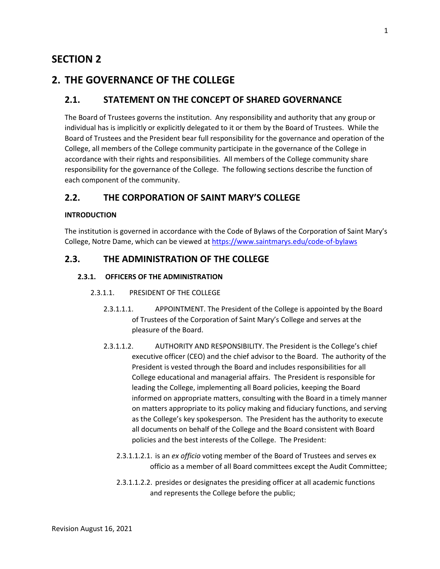# **SECTION 2**

# **2. THE GOVERNANCE OF THE COLLEGE**

# **2.1. STATEMENT ON THE CONCEPT OF SHARED GOVERNANCE**

The Board of Trustees governs the institution. Any responsibility and authority that any group or individual has is implicitly or explicitly delegated to it or them by the Board of Trustees. While the Board of Trustees and the President bear full responsibility for the governance and operation of the College, all members of the College community participate in the governance of the College in accordance with their rights and responsibilities. All members of the College community share responsibility for the governance of the College. The following sections describe the function of each component of the community.

# **2.2. THE CORPORATION OF SAINT MARY'S COLLEGE**

### **INTRODUCTION**

The institution is governed in accordance with the Code of Bylaws of the Corporation of Saint Mary's College, Notre Dame, which can be viewed at<https://www.saintmarys.edu/code-of-bylaws>

# **2.3. THE ADMINISTRATION OF THE COLLEGE**

## **2.3.1. OFFICERS OF THE ADMINISTRATION**

### 2.3.1.1. PRESIDENT OF THE COLLEGE

- 2.3.1.1.1. APPOINTMENT. The President of the College is appointed by the Board of Trustees of the Corporation of Saint Mary's College and serves at the pleasure of the Board.
- 2.3.1.1.2. AUTHORITY AND RESPONSIBILITY. The President is the College's chief executive officer (CEO) and the chief advisor to the Board. The authority of the President is vested through the Board and includes responsibilities for all College educational and managerial affairs. The President is responsible for leading the College, implementing all Board policies, keeping the Board informed on appropriate matters, consulting with the Board in a timely manner on matters appropriate to its policy making and fiduciary functions, and serving as the College's key spokesperson. The President has the authority to execute all documents on behalf of the College and the Board consistent with Board policies and the best interests of the College. The President:
	- 2.3.1.1.2.1. is an *ex officio* voting member of the Board of Trustees and serves ex officio as a member of all Board committees except the Audit Committee;
	- 2.3.1.1.2.2. presides or designates the presiding officer at all academic functions and represents the College before the public;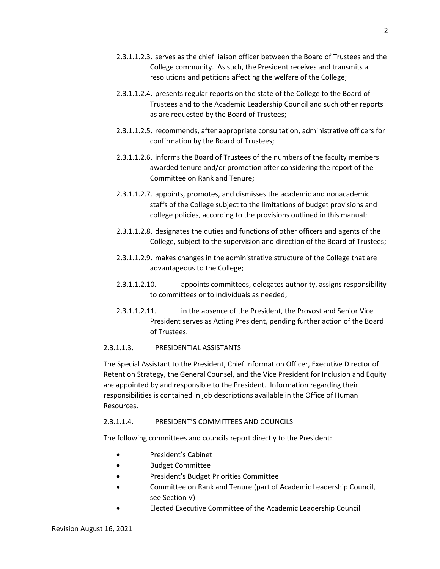- 2.3.1.1.2.4. presents regular reports on the state of the College to the Board of Trustees and to the Academic Leadership Council and such other reports as are requested by the Board of Trustees;
- 2.3.1.1.2.5. recommends, after appropriate consultation, administrative officers for confirmation by the Board of Trustees;
- 2.3.1.1.2.6. informs the Board of Trustees of the numbers of the faculty members awarded tenure and/or promotion after considering the report of the Committee on Rank and Tenure;
- 2.3.1.1.2.7. appoints, promotes, and dismisses the academic and nonacademic staffs of the College subject to the limitations of budget provisions and college policies, according to the provisions outlined in this manual;
- 2.3.1.1.2.8. designates the duties and functions of other officers and agents of the College, subject to the supervision and direction of the Board of Trustees;
- 2.3.1.1.2.9. makes changes in the administrative structure of the College that are advantageous to the College;
- 2.3.1.1.2.10. appoints committees, delegates authority, assigns responsibility to committees or to individuals as needed;
- 2.3.1.1.2.11. in the absence of the President, the Provost and Senior Vice President serves as Acting President, pending further action of the Board of Trustees.

# 2.3.1.1.3. PRESIDENTIAL ASSISTANTS

The Special Assistant to the President, Chief Information Officer, Executive Director of Retention Strategy, the General Counsel, and the Vice President for Inclusion and Equity are appointed by and responsible to the President. Information regarding their responsibilities is contained in job descriptions available in the Office of Human Resources.

# 2.3.1.1.4. PRESIDENT'S COMMITTEES AND COUNCILS

The following committees and councils report directly to the President:

- President's Cabinet
- Budget Committee
- President's Budget Priorities Committee
- Committee on Rank and Tenure (part of Academic Leadership Council, see Section V)
- Elected Executive Committee of the Academic Leadership Council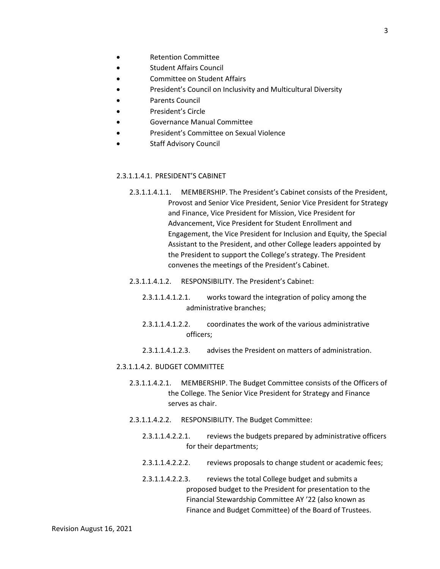- Retention Committee
- Student Affairs Council
- Committee on Student Affairs
- President's Council on Inclusivity and Multicultural Diversity
- Parents Council
- President's Circle
- Governance Manual Committee
- President's Committee on Sexual Violence
- Staff Advisory Council

### 2.3.1.1.4.1. PRESIDENT'S CABINET

- 2.3.1.1.4.1.1. MEMBERSHIP. The President's Cabinet consists of the President, Provost and Senior Vice President, Senior Vice President for Strategy and Finance, Vice President for Mission, Vice President for Advancement, Vice President for Student Enrollment and Engagement, the Vice President for Inclusion and Equity, the Special Assistant to the President, and other College leaders appointed by the President to support the College's strategy. The President convenes the meetings of the President's Cabinet.
- 2.3.1.1.4.1.2. RESPONSIBILITY. The President's Cabinet:
	- 2.3.1.1.4.1.2.1. works toward the integration of policy among the administrative branches;
	- 2.3.1.1.4.1.2.2. coordinates the work of the various administrative officers;
	- 2.3.1.1.4.1.2.3. advises the President on matters of administration.

#### 2.3.1.1.4.2. BUDGET COMMITTEE

- 2.3.1.1.4.2.1. MEMBERSHIP. The Budget Committee consists of the Officers of the College. The Senior Vice President for Strategy and Finance serves as chair.
- 2.3.1.1.4.2.2. RESPONSIBILITY. The Budget Committee:
	- 2.3.1.1.4.2.2.1. reviews the budgets prepared by administrative officers for their departments;
	- 2.3.1.1.4.2.2.2. reviews proposals to change student or academic fees;
	- 2.3.1.1.4.2.2.3. reviews the total College budget and submits a proposed budget to the President for presentation to the Financial Stewardship Committee AY '22 (also known as Finance and Budget Committee) of the Board of Trustees.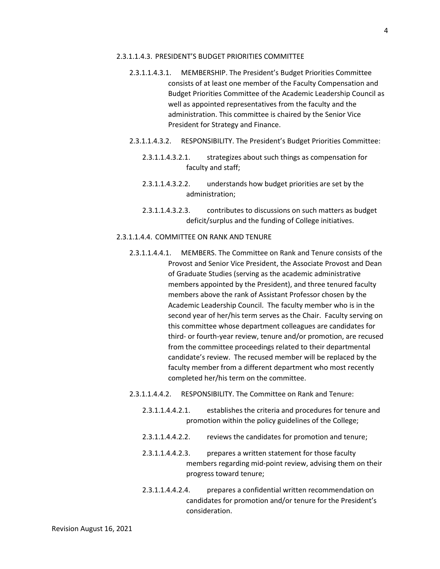#### 2.3.1.1.4.3. PRESIDENT'S BUDGET PRIORITIES COMMITTEE

- 2.3.1.1.4.3.1. MEMBERSHIP. The President's Budget Priorities Committee consists of at least one member of the Faculty Compensation and Budget Priorities Committee of the Academic Leadership Council as well as appointed representatives from the faculty and the administration. This committee is chaired by the Senior Vice President for Strategy and Finance.
- 2.3.1.1.4.3.2. RESPONSIBILITY. The President's Budget Priorities Committee:
	- 2.3.1.1.4.3.2.1. strategizes about such things as compensation for faculty and staff;
	- 2.3.1.1.4.3.2.2. understands how budget priorities are set by the administration;
	- 2.3.1.1.4.3.2.3. contributes to discussions on such matters as budget deficit/surplus and the funding of College initiatives.

### 2.3.1.1.4.4. COMMITTEE ON RANK AND TENURE

- 2.3.1.1.4.4.1. MEMBERS. The Committee on Rank and Tenure consists of the Provost and Senior Vice President, the Associate Provost and Dean of Graduate Studies (serving as the academic administrative members appointed by the President), and three tenured faculty members above the rank of Assistant Professor chosen by the Academic Leadership Council. The faculty member who is in the second year of her/his term serves as the Chair. Faculty serving on this committee whose department colleagues are candidates for third- or fourth-year review, tenure and/or promotion, are recused from the committee proceedings related to their departmental candidate's review. The recused member will be replaced by the faculty member from a different department who most recently completed her/his term on the committee.
- 2.3.1.1.4.4.2. RESPONSIBILITY. The Committee on Rank and Tenure:
	- 2.3.1.1.4.4.2.1. establishes the criteria and procedures for tenure and promotion within the policy guidelines of the College;
	- 2.3.1.1.4.4.2.2. reviews the candidates for promotion and tenure;
	- 2.3.1.1.4.4.2.3. prepares a written statement for those faculty members regarding mid-point review, advising them on their progress toward tenure;
	- 2.3.1.1.4.4.2.4. prepares a confidential written recommendation on candidates for promotion and/or tenure for the President's consideration.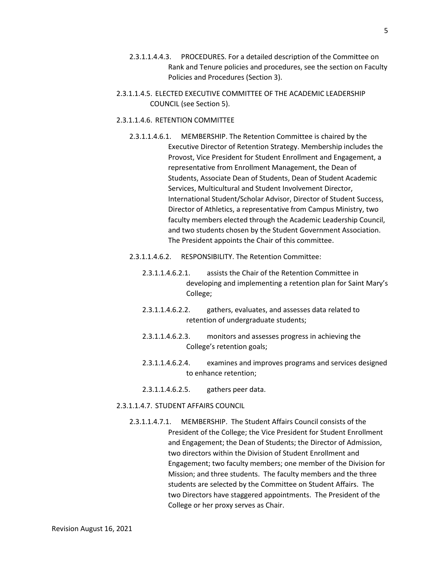- 2.3.1.1.4.4.3. PROCEDURES. For a detailed description of the Committee on Rank and Tenure policies and procedures, see the section on Faculty Policies and Procedures (Section 3).
- 2.3.1.1.4.5. ELECTED EXECUTIVE COMMITTEE OF THE ACADEMIC LEADERSHIP COUNCIL (see Section 5).

#### 2.3.1.1.4.6. RETENTION COMMITTEE

2.3.1.1.4.6.1. MEMBERSHIP. The Retention Committee is chaired by the Executive Director of Retention Strategy. Membership includes the Provost, Vice President for Student Enrollment and Engagement, a representative from Enrollment Management, the Dean of Students, Associate Dean of Students, Dean of Student Academic Services, Multicultural and Student Involvement Director, International Student/Scholar Advisor, Director of Student Success, Director of Athletics, a representative from Campus Ministry, two faculty members elected through the Academic Leadership Council, and two students chosen by the Student Government Association. The President appoints the Chair of this committee.

### 2.3.1.1.4.6.2. RESPONSIBILITY. The Retention Committee:

- 2.3.1.1.4.6.2.1. assists the Chair of the Retention Committee in developing and implementing a retention plan for Saint Mary's College;
- 2.3.1.1.4.6.2.2. gathers, evaluates, and assesses data related to retention of undergraduate students;
- 2.3.1.1.4.6.2.3. monitors and assesses progress in achieving the College's retention goals;
- 2.3.1.1.4.6.2.4. examines and improves programs and services designed to enhance retention;
- 2.3.1.1.4.6.2.5. gathers peer data.

#### 2.3.1.1.4.7. STUDENT AFFAIRS COUNCIL

2.3.1.1.4.7.1. MEMBERSHIP. The Student Affairs Council consists of the President of the College; the Vice President for Student Enrollment and Engagement; the Dean of Students; the Director of Admission, two directors within the Division of Student Enrollment and Engagement; two faculty members; one member of the Division for Mission; and three students. The faculty members and the three students are selected by the Committee on Student Affairs. The two Directors have staggered appointments. The President of the College or her proxy serves as Chair.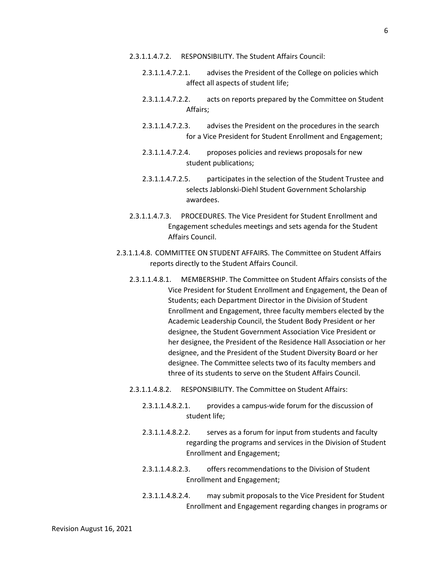- 2.3.1.1.4.7.2. RESPONSIBILITY. The Student Affairs Council:
	- 2.3.1.1.4.7.2.1. advises the President of the College on policies which affect all aspects of student life;
	- 2.3.1.1.4.7.2.2. acts on reports prepared by the Committee on Student Affairs;
	- 2.3.1.1.4.7.2.3. advises the President on the procedures in the search for a Vice President for Student Enrollment and Engagement;
	- 2.3.1.1.4.7.2.4. proposes policies and reviews proposals for new student publications;
	- 2.3.1.1.4.7.2.5. participates in the selection of the Student Trustee and selects Jablonski-Diehl Student Government Scholarship awardees.
- 2.3.1.1.4.7.3. PROCEDURES. The Vice President for Student Enrollment and Engagement schedules meetings and sets agenda for the Student Affairs Council.
- 2.3.1.1.4.8. COMMITTEE ON STUDENT AFFAIRS. The Committee on Student Affairs reports directly to the Student Affairs Council.
	- 2.3.1.1.4.8.1. MEMBERSHIP. The Committee on Student Affairs consists of the Vice President for Student Enrollment and Engagement, the Dean of Students; each Department Director in the Division of Student Enrollment and Engagement, three faculty members elected by the Academic Leadership Council, the Student Body President or her designee, the Student Government Association Vice President or her designee, the President of the Residence Hall Association or her designee, and the President of the Student Diversity Board or her designee. The Committee selects two of its faculty members and three of its students to serve on the Student Affairs Council.
	- 2.3.1.1.4.8.2. RESPONSIBILITY. The Committee on Student Affairs:
		- 2.3.1.1.4.8.2.1. provides a campus-wide forum for the discussion of student life;
		- 2.3.1.1.4.8.2.2. serves as a forum for input from students and faculty regarding the programs and services in the Division of Student Enrollment and Engagement;
		- 2.3.1.1.4.8.2.3. offers recommendations to the Division of Student Enrollment and Engagement;
		- 2.3.1.1.4.8.2.4. may submit proposals to the Vice President for Student Enrollment and Engagement regarding changes in programs or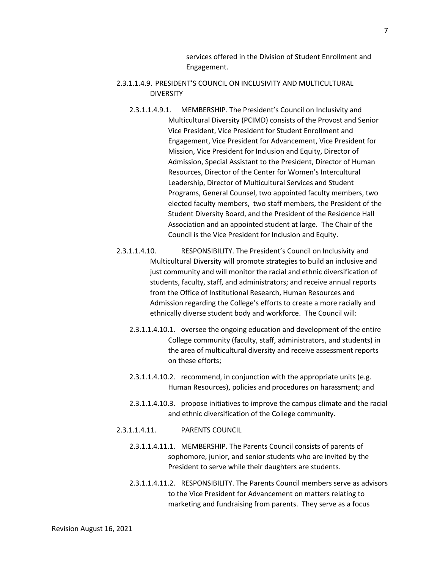services offered in the Division of Student Enrollment and Engagement.

- 2.3.1.1.4.9. PRESIDENT'S COUNCIL ON INCLUSIVITY AND MULTICULTURAL **DIVERSITY** 
	- 2.3.1.1.4.9.1. MEMBERSHIP. The President's Council on Inclusivity and Multicultural Diversity (PCIMD) consists of the Provost and Senior Vice President, Vice President for Student Enrollment and Engagement, Vice President for Advancement, Vice President for Mission, Vice President for Inclusion and Equity, Director of Admission, Special Assistant to the President, Director of Human Resources, Director of the Center for Women's Intercultural Leadership, Director of Multicultural Services and Student Programs, General Counsel, two appointed faculty members, two elected faculty members, two staff members, the President of the Student Diversity Board, and the President of the Residence Hall Association and an appointed student at large. The Chair of the Council is the Vice President for Inclusion and Equity.
- 2.3.1.1.4.10. RESPONSIBILITY. The President's Council on Inclusivity and Multicultural Diversity will promote strategies to build an inclusive and just community and will monitor the racial and ethnic diversification of students, faculty, staff, and administrators; and receive annual reports from the Office of Institutional Research, Human Resources and Admission regarding the College's efforts to create a more racially and ethnically diverse student body and workforce. The Council will:
	- 2.3.1.1.4.10.1. oversee the ongoing education and development of the entire College community (faculty, staff, administrators, and students) in the area of multicultural diversity and receive assessment reports on these efforts;
	- 2.3.1.1.4.10.2. recommend, in conjunction with the appropriate units (e.g. Human Resources), policies and procedures on harassment; and
	- 2.3.1.1.4.10.3. propose initiatives to improve the campus climate and the racial and ethnic diversification of the College community.
- 2.3.1.1.4.11. PARENTS COUNCIL
	- 2.3.1.1.4.11.1. MEMBERSHIP. The Parents Council consists of parents of sophomore, junior, and senior students who are invited by the President to serve while their daughters are students.
	- 2.3.1.1.4.11.2. RESPONSIBILITY. The Parents Council members serve as advisors to the Vice President for Advancement on matters relating to marketing and fundraising from parents. They serve as a focus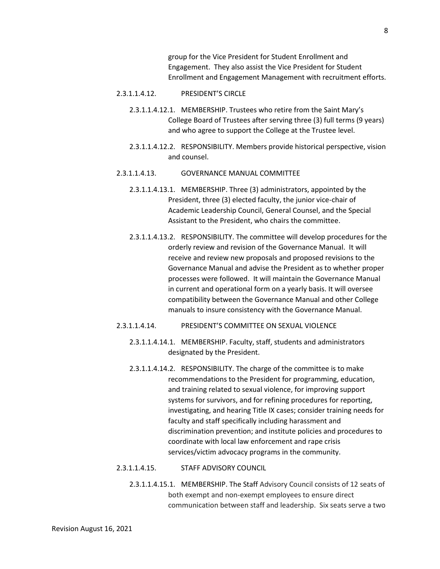group for the Vice President for Student Enrollment and Engagement. They also assist the Vice President for Student Enrollment and Engagement Management with recruitment efforts.

#### 2.3.1.1.4.12. PRESIDENT'S CIRCLE

- 2.3.1.1.4.12.1. MEMBERSHIP. Trustees who retire from the Saint Mary's College Board of Trustees after serving three (3) full terms (9 years) and who agree to support the College at the Trustee level.
- 2.3.1.1.4.12.2. RESPONSIBILITY. Members provide historical perspective, vision and counsel.

#### 2.3.1.1.4.13. GOVERNANCE MANUAL COMMITTEE

- 2.3.1.1.4.13.1. MEMBERSHIP. Three (3) administrators, appointed by the President, three (3) elected faculty, the junior vice-chair of Academic Leadership Council, General Counsel, and the Special Assistant to the President, who chairs the committee.
- 2.3.1.1.4.13.2. RESPONSIBILITY. The committee will develop procedures for the orderly review and revision of the Governance Manual. It will receive and review new proposals and proposed revisions to the Governance Manual and advise the President as to whether proper processes were followed. It will maintain the Governance Manual in current and operational form on a yearly basis. It will oversee compatibility between the Governance Manual and other College manuals to insure consistency with the Governance Manual.

#### 2.3.1.1.4.14. PRESIDENT'S COMMITTEE ON SEXUAL VIOLENCE

- 2.3.1.1.4.14.1. MEMBERSHIP. Faculty, staff, students and administrators designated by the President.
- 2.3.1.1.4.14.2. RESPONSIBILITY. The charge of the committee is to make recommendations to the President for programming, education, and training related to sexual violence, for improving support systems for survivors, and for refining procedures for reporting, investigating, and hearing Title IX cases; consider training needs for faculty and staff specifically including harassment and discrimination prevention; and institute policies and procedures to coordinate with local law enforcement and rape crisis services/victim advocacy programs in the community.

#### 2.3.1.1.4.15. STAFF ADVISORY COUNCIL

2.3.1.1.4.15.1. MEMBERSHIP. The Staff Advisory Council consists of 12 seats of both exempt and non-exempt employees to ensure direct communication between staff and leadership. Six seats serve a two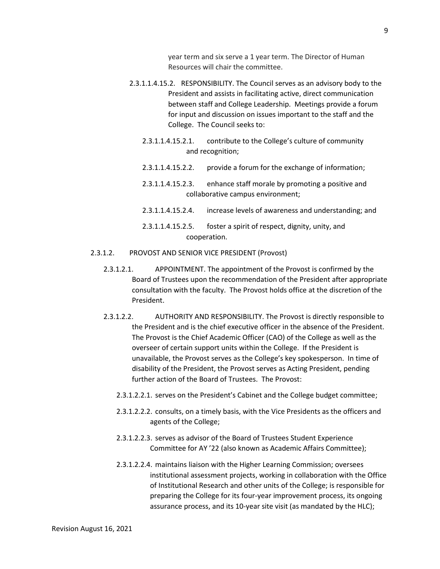year term and six serve a 1 year term. The Director of Human Resources will chair the committee.

- 2.3.1.1.4.15.2. RESPONSIBILITY. The Council serves as an advisory body to the President and assists in facilitating active, direct communication between staff and College Leadership. Meetings provide a forum for input and discussion on issues important to the staff and the College. The Council seeks to:
	- 2.3.1.1.4.15.2.1. contribute to the College's culture of community and recognition;
	- 2.3.1.1.4.15.2.2. provide a forum for the exchange of information;
	- 2.3.1.1.4.15.2.3. enhance staff morale by promoting a positive and collaborative campus environment;
	- 2.3.1.1.4.15.2.4. increase levels of awareness and understanding; and
	- 2.3.1.1.4.15.2.5. foster a spirit of respect, dignity, unity, and cooperation.
- 2.3.1.2. PROVOST AND SENIOR VICE PRESIDENT (Provost)
	- 2.3.1.2.1. APPOINTMENT. The appointment of the Provost is confirmed by the Board of Trustees upon the recommendation of the President after appropriate consultation with the faculty. The Provost holds office at the discretion of the President.
	- 2.3.1.2.2. AUTHORITY AND RESPONSIBILITY. The Provost is directly responsible to the President and is the chief executive officer in the absence of the President. The Provost is the Chief Academic Officer (CAO) of the College as well as the overseer of certain support units within the College. If the President is unavailable, the Provost serves as the College's key spokesperson. In time of disability of the President, the Provost serves as Acting President, pending further action of the Board of Trustees. The Provost:
		- 2.3.1.2.2.1. serves on the President's Cabinet and the College budget committee;
		- 2.3.1.2.2.2. consults, on a timely basis, with the Vice Presidents as the officers and agents of the College;
		- 2.3.1.2.2.3. serves as advisor of the Board of Trustees Student Experience Committee for AY '22 (also known as Academic Affairs Committee);
		- 2.3.1.2.2.4. maintains liaison with the Higher Learning Commission; oversees institutional assessment projects, working in collaboration with the Office of Institutional Research and other units of the College; is responsible for preparing the College for its four-year improvement process, its ongoing assurance process, and its 10-year site visit (as mandated by the HLC);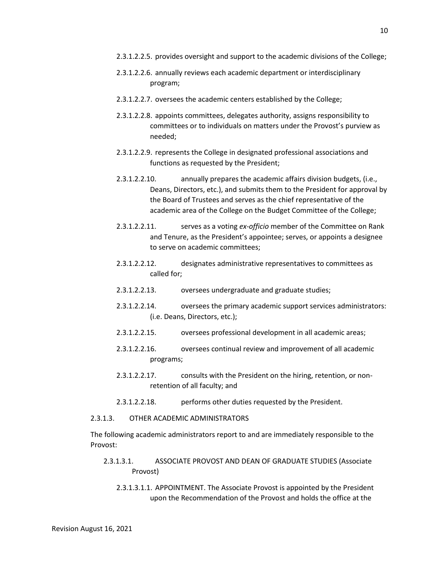- 2.3.1.2.2.5. provides oversight and support to the academic divisions of the College;
- 2.3.1.2.2.6. annually reviews each academic department or interdisciplinary program;
- 2.3.1.2.2.7. oversees the academic centers established by the College;
- 2.3.1.2.2.8. appoints committees, delegates authority, assigns responsibility to committees or to individuals on matters under the Provost's purview as needed;
- 2.3.1.2.2.9. represents the College in designated professional associations and functions as requested by the President;
- 2.3.1.2.2.10. annually prepares the academic affairs division budgets, (i.e., Deans, Directors, etc.), and submits them to the President for approval by the Board of Trustees and serves as the chief representative of the academic area of the College on the Budget Committee of the College;
- 2.3.1.2.2.11. serves as a voting *ex-officio* member of the Committee on Rank and Tenure, as the President's appointee; serves, or appoints a designee to serve on academic committees;
- 2.3.1.2.2.12. designates administrative representatives to committees as called for;
- 2.3.1.2.2.13. oversees undergraduate and graduate studies;
- 2.3.1.2.2.14. oversees the primary academic support services administrators: (i.e. Deans, Directors, etc.);
- 2.3.1.2.2.15. oversees professional development in all academic areas;
- 2.3.1.2.2.16. oversees continual review and improvement of all academic programs;
- 2.3.1.2.2.17. consults with the President on the hiring, retention, or nonretention of all faculty; and
- 2.3.1.2.2.18. performs other duties requested by the President.

#### 2.3.1.3. OTHER ACADEMIC ADMINISTRATORS

The following academic administrators report to and are immediately responsible to the Provost:

- 2.3.1.3.1. ASSOCIATE PROVOST AND DEAN OF GRADUATE STUDIES (Associate Provost)
	- 2.3.1.3.1.1. APPOINTMENT. The Associate Provost is appointed by the President upon the Recommendation of the Provost and holds the office at the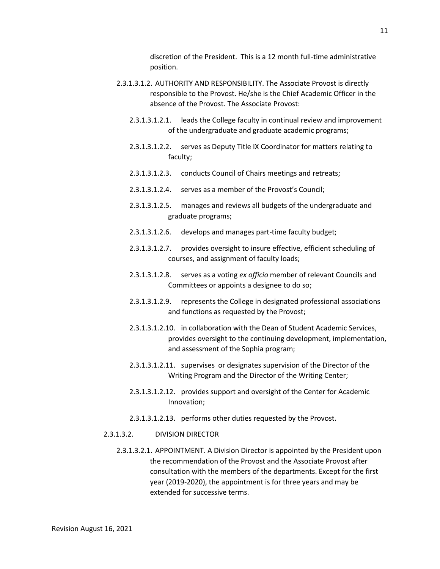discretion of the President. This is a 12 month full-time administrative position.

- 2.3.1.3.1.2. AUTHORITY AND RESPONSIBILITY. The Associate Provost is directly responsible to the Provost. He/she is the Chief Academic Officer in the absence of the Provost. The Associate Provost:
	- 2.3.1.3.1.2.1. leads the College faculty in continual review and improvement of the undergraduate and graduate academic programs;
	- 2.3.1.3.1.2.2. serves as Deputy Title IX Coordinator for matters relating to faculty;
	- 2.3.1.3.1.2.3. conducts Council of Chairs meetings and retreats;
	- 2.3.1.3.1.2.4. serves as a member of the Provost's Council;
	- 2.3.1.3.1.2.5. manages and reviews all budgets of the undergraduate and graduate programs;
	- 2.3.1.3.1.2.6. develops and manages part-time faculty budget;
	- 2.3.1.3.1.2.7. provides oversight to insure effective, efficient scheduling of courses, and assignment of faculty loads;
	- 2.3.1.3.1.2.8. serves as a voting *ex officio* member of relevant Councils and Committees or appoints a designee to do so;
	- 2.3.1.3.1.2.9. represents the College in designated professional associations and functions as requested by the Provost;
	- 2.3.1.3.1.2.10. in collaboration with the Dean of Student Academic Services, provides oversight to the continuing development, implementation, and assessment of the Sophia program;
	- 2.3.1.3.1.2.11. supervises or designates supervision of the Director of the Writing Program and the Director of the Writing Center;
	- 2.3.1.3.1.2.12. provides support and oversight of the Center for Academic Innovation;
	- 2.3.1.3.1.2.13. performs other duties requested by the Provost.

### 2.3.1.3.2. DIVISION DIRECTOR

2.3.1.3.2.1. APPOINTMENT. A Division Director is appointed by the President upon the recommendation of the Provost and the Associate Provost after consultation with the members of the departments. Except for the first year (2019-2020), the appointment is for three years and may be extended for successive terms.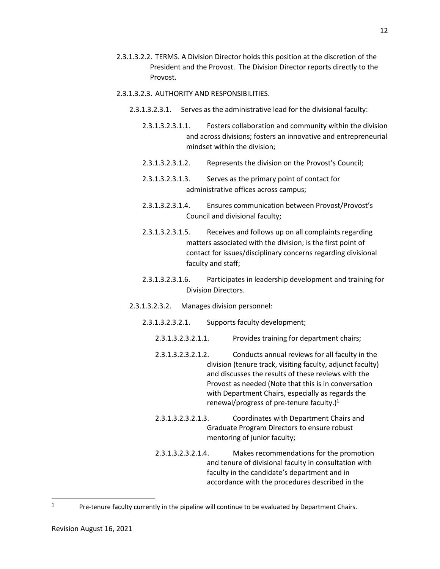- 2.3.1.3.2.2. TERMS. A Division Director holds this position at the discretion of the President and the Provost. The Division Director reports directly to the Provost.
- 2.3.1.3.2.3. AUTHORITY AND RESPONSIBILITIES.
	- 2.3.1.3.2.3.1. Serves as the administrative lead for the divisional faculty:
		- 2.3.1.3.2.3.1.1. Fosters collaboration and community within the division and across divisions; fosters an innovative and entrepreneurial mindset within the division;
		- 2.3.1.3.2.3.1.2. Represents the division on the Provost's Council;
		- 2.3.1.3.2.3.1.3. Serves as the primary point of contact for administrative offices across campus;
		- 2.3.1.3.2.3.1.4. Ensures communication between Provost/Provost's Council and divisional faculty;
		- 2.3.1.3.2.3.1.5. Receives and follows up on all complaints regarding matters associated with the division; is the first point of contact for issues/disciplinary concerns regarding divisional faculty and staff;
		- 2.3.1.3.2.3.1.6. Participates in leadership development and training for Division Directors.
	- 2.3.1.3.2.3.2. Manages division personnel:
		- 2.3.1.3.2.3.2.1. Supports faculty development;
			- 2.3.1.3.2.3.2.1.1. Provides training for department chairs;
			- 2.3.1.3.2.3.2.1.2. Conducts annual reviews for all faculty in the division (tenure track, visiting faculty, adjunct faculty) and discusses the results of these reviews with the Provost as needed (Note that this is in conversation with Department Chairs, especially as regards the renewal/progress of pre-tenure faculty.) $1$
			- 2.3.1.3.2.3.2.1.3. Coordinates with Department Chairs and Graduate Program Directors to ensure robust mentoring of junior faculty;
			- 2.3.1.3.2.3.2.1.4. Makes recommendations for the promotion and tenure of divisional faculty in consultation with faculty in the candidate's department and in accordance with the procedures described in the

l 1

Pre-tenure faculty currently in the pipeline will continue to be evaluated by Department Chairs.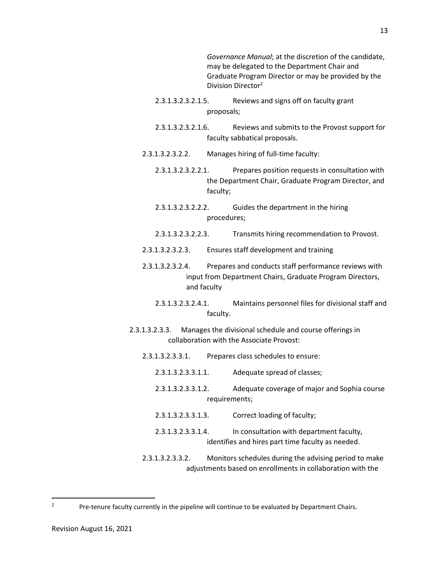*Governance Manual*; at the discretion of the candidate, may be delegated to the Department Chair and Graduate Program Director or may be provided by the Division Director<sup>2</sup>

- 2.3.1.3.2.3.2.1.5. Reviews and signs off on faculty grant proposals;
- 2.3.1.3.2.3.2.1.6. Reviews and submits to the Provost support for faculty sabbatical proposals.
- 2.3.1.3.2.3.2.2. Manages hiring of full-time faculty:
	- 2.3.1.3.2.3.2.2.1. Prepares position requests in consultation with the Department Chair, Graduate Program Director, and faculty;
	- 2.3.1.3.2.3.2.2.2. Guides the department in the hiring procedures;
	- 2.3.1.3.2.3.2.2.3. Transmits hiring recommendation to Provost.
- 2.3.1.3.2.3.2.3. Ensures staff development and training
- 2.3.1.3.2.3.2.4. Prepares and conducts staff performance reviews with input from Department Chairs, Graduate Program Directors, and faculty
	- 2.3.1.3.2.3.2.4.1. Maintains personnel files for divisional staff and faculty.
- 2.3.1.3.2.3.3. Manages the divisional schedule and course offerings in collaboration with the Associate Provost:
	- 2.3.1.3.2.3.3.1. Prepares class schedules to ensure:
		- 2.3.1.3.2.3.3.1.1. Adequate spread of classes;
			- 2.3.1.3.2.3.3.1.2. Adequate coverage of major and Sophia course requirements;
			- 2.3.1.3.2.3.3.1.3. Correct loading of faculty; 2.3.1.3.2.3.3.1.4. In consultation with department faculty, identifies and hires part time faculty as needed.
	- 2.3.1.3.2.3.3.2. Monitors schedules during the advising period to make adjustments based on enrollments in collaboration with the

l 2

Pre-tenure faculty currently in the pipeline will continue to be evaluated by Department Chairs.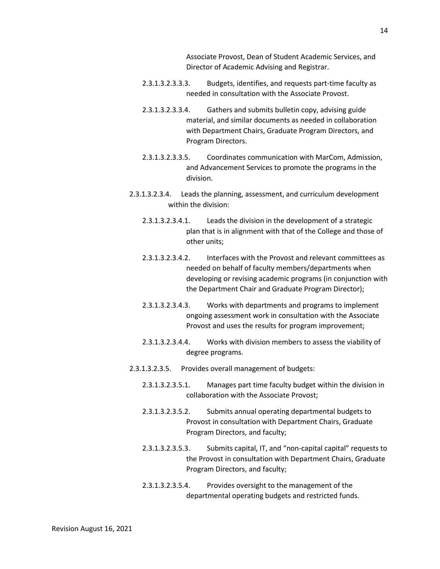Associate Provost, Dean of Student Academic Services, and Director of Academic Advising and Registrar.

- 2.3.1.3.2.3.3.3. Budgets, identifies, and requests part-time faculty as needed in consultation with the Associate Provost.
- 2.3.1.3.2.3.3.4. Gathers and submits bulletin copy, advising guide material, and similar documents as needed in collaboration with Department Chairs, Graduate Program Directors, and Program Directors.
- 2.3.1.3.2.3.3.5. Coordinates communication with MarCom, Admission, and Advancement Services to promote the programs in the division.
- 2.3.1.3.2.3.4. Leads the planning, assessment, and curriculum development within the division:
	- 2.3.1.3.2.3.4.1. Leads the division in the development of a strategic plan that is in alignment with that of the College and those of other units;
	- 2.3.1.3.2.3.4.2. Interfaces with the Provost and relevant committees as needed on behalf of faculty members/departments when developing or revising academic programs (in conjunction with the Department Chair and Graduate Program Director);
	- 2.3.1.3.2.3.4.3. Works with departments and programs to implement ongoing assessment work in consultation with the Associate Provost and uses the results for program improvement;
	- 2.3.1.3.2.3.4.4. Works with division members to assess the viability of degree programs.
- 2.3.1.3.2.3.5. Provides overall management of budgets:
	- 2.3.1.3.2.3.5.1. Manages part time faculty budget within the division in collaboration with the Associate Provost;
	- 2.3.1.3.2.3.5.2. Submits annual operating departmental budgets to Provost in consultation with Department Chairs, Graduate Program Directors, and faculty;
	- 2.3.1.3.2.3.5.3. Submits capital, IT, and "non-capital capital" requests to the Provost in consultation with Department Chairs, Graduate Program Directors, and faculty;
	- 2.3.1.3.2.3.5.4. Provides oversight to the management of the departmental operating budgets and restricted funds.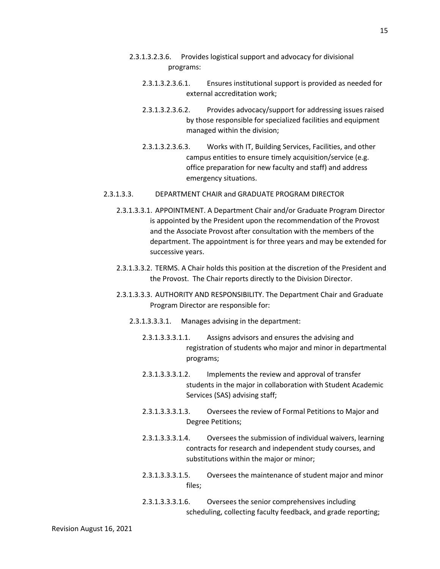- 2.3.1.3.2.3.6. Provides logistical support and advocacy for divisional programs:
	- 2.3.1.3.2.3.6.1. Ensures institutional support is provided as needed for external accreditation work;
	- 2.3.1.3.2.3.6.2. Provides advocacy/support for addressing issues raised by those responsible for specialized facilities and equipment managed within the division;
	- 2.3.1.3.2.3.6.3. Works with IT, Building Services, Facilities, and other campus entities to ensure timely acquisition/service (e.g. office preparation for new faculty and staff) and address emergency situations.
- 2.3.1.3.3. DEPARTMENT CHAIR and GRADUATE PROGRAM DIRECTOR
	- 2.3.1.3.3.1. APPOINTMENT. A Department Chair and/or Graduate Program Director is appointed by the President upon the recommendation of the Provost and the Associate Provost after consultation with the members of the department. The appointment is for three years and may be extended for successive years.
	- 2.3.1.3.3.2. TERMS. A Chair holds this position at the discretion of the President and the Provost. The Chair reports directly to the Division Director.
	- 2.3.1.3.3.3. AUTHORITY AND RESPONSIBILITY. The Department Chair and Graduate Program Director are responsible for:
		- 2.3.1.3.3.3.1. Manages advising in the department:
			- 2.3.1.3.3.3.1.1. Assigns advisors and ensures the advising and registration of students who major and minor in departmental programs;
			- 2.3.1.3.3.3.1.2. Implements the review and approval of transfer students in the major in collaboration with Student Academic Services (SAS) advising staff;
			- 2.3.1.3.3.3.1.3. Oversees the review of Formal Petitions to Major and Degree Petitions;
			- 2.3.1.3.3.3.1.4. Oversees the submission of individual waivers, learning contracts for research and independent study courses, and substitutions within the major or minor;
			- 2.3.1.3.3.3.1.5. Oversees the maintenance of student major and minor files;

# 2.3.1.3.3.3.1.6. Oversees the senior comprehensives including scheduling, collecting faculty feedback, and grade reporting;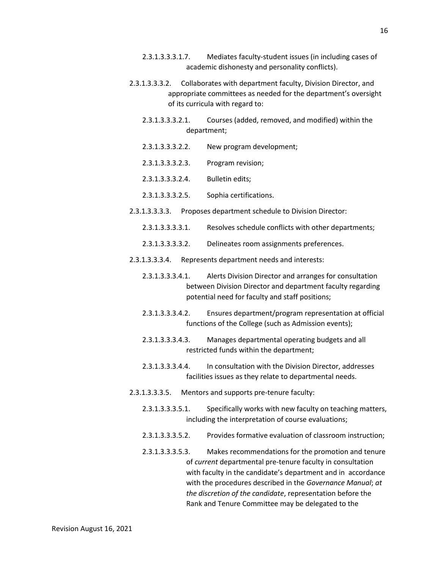- 2.3.1.3.3.3.1.7. Mediates faculty-student issues (in including cases of academic dishonesty and personality conflicts).
- 2.3.1.3.3.3.2. Collaborates with department faculty, Division Director, and appropriate committees as needed for the department's oversight of its curricula with regard to:
	- 2.3.1.3.3.3.2.1. Courses (added, removed, and modified) within the department;
	- 2.3.1.3.3.3.2.2. New program development;
	- 2.3.1.3.3.3.2.3. Program revision;
	- 2.3.1.3.3.3.2.4. Bulletin edits;
	- 2.3.1.3.3.3.2.5. Sophia certifications.
- 2.3.1.3.3.3.3. Proposes department schedule to Division Director:
	- 2.3.1.3.3.3.3.1. Resolves schedule conflicts with other departments;
	- 2.3.1.3.3.3.3.2. Delineates room assignments preferences.
- 2.3.1.3.3.3.4. Represents department needs and interests:
	- 2.3.1.3.3.3.4.1. Alerts Division Director and arranges for consultation between Division Director and department faculty regarding potential need for faculty and staff positions;
	- 2.3.1.3.3.3.4.2. Ensures department/program representation at official functions of the College (such as Admission events);
	- 2.3.1.3.3.3.4.3. Manages departmental operating budgets and all restricted funds within the department;
	- 2.3.1.3.3.3.4.4. In consultation with the Division Director, addresses facilities issues as they relate to departmental needs.
- 2.3.1.3.3.3.5. Mentors and supports pre-tenure faculty:
	- 2.3.1.3.3.3.5.1. Specifically works with new faculty on teaching matters, including the interpretation of course evaluations;
	- 2.3.1.3.3.3.5.2. Provides formative evaluation of classroom instruction;
	- 2.3.1.3.3.3.5.3. Makes recommendations for the promotion and tenure of *current* departmental pre-tenure faculty in consultation with faculty in the candidate's department and in accordance with the procedures described in the *Governance Manual*; *at the discretion of the candidate*, representation before the Rank and Tenure Committee may be delegated to the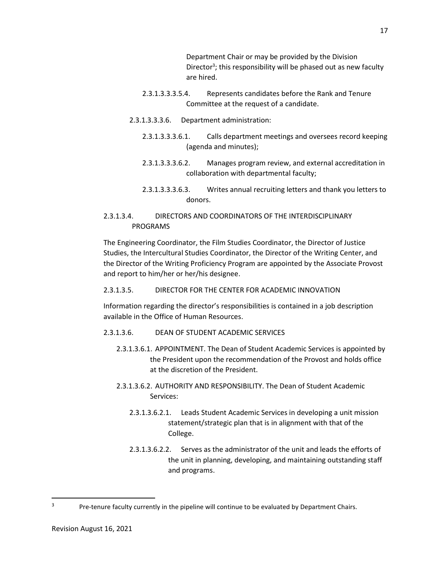Department Chair or may be provided by the Division Director<sup>3</sup>; this responsibility will be phased out as new faculty are hired.

- 2.3.1.3.3.3.5.4. Represents candidates before the Rank and Tenure Committee at the request of a candidate.
- 2.3.1.3.3.3.6. Department administration:
	- 2.3.1.3.3.3.6.1. Calls department meetings and oversees record keeping (agenda and minutes);
	- 2.3.1.3.3.3.6.2. Manages program review, and external accreditation in collaboration with departmental faculty;
	- 2.3.1.3.3.3.6.3. Writes annual recruiting letters and thank you letters to donors.

# 2.3.1.3.4. DIRECTORS AND COORDINATORS OF THE INTERDISCIPLINARY PROGRAMS

The Engineering Coordinator, the Film Studies Coordinator, the Director of Justice Studies, the Intercultural Studies Coordinator, the Director of the Writing Center, and the Director of the Writing Proficiency Program are appointed by the Associate Provost and report to him/her or her/his designee.

## 2.3.1.3.5. DIRECTOR FOR THE CENTER FOR ACADEMIC INNOVATION

Information regarding the director's responsibilities is contained in a job description available in the Office of Human Resources.

- 2.3.1.3.6. DEAN OF STUDENT ACADEMIC SERVICES
	- 2.3.1.3.6.1. APPOINTMENT. The Dean of Student Academic Services is appointed by the President upon the recommendation of the Provost and holds office at the discretion of the President.
	- 2.3.1.3.6.2. AUTHORITY AND RESPONSIBILITY. The Dean of Student Academic Services:
		- 2.3.1.3.6.2.1. Leads Student Academic Services in developing a unit mission statement/strategic plan that is in alignment with that of the College.
		- 2.3.1.3.6.2.2. Serves as the administrator of the unit and leads the efforts of the unit in planning, developing, and maintaining outstanding staff and programs.

l 3

Pre-tenure faculty currently in the pipeline will continue to be evaluated by Department Chairs.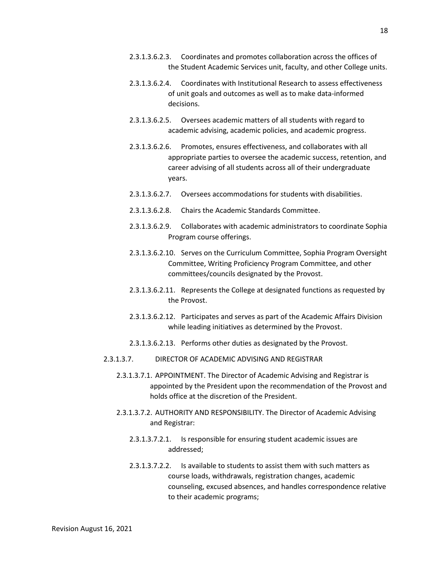- 2.3.1.3.6.2.3. Coordinates and promotes collaboration across the offices of the Student Academic Services unit, faculty, and other College units.
- 2.3.1.3.6.2.4. Coordinates with Institutional Research to assess effectiveness of unit goals and outcomes as well as to make data-informed decisions.
- 2.3.1.3.6.2.5. Oversees academic matters of all students with regard to academic advising, academic policies, and academic progress.
- 2.3.1.3.6.2.6. Promotes, ensures effectiveness, and collaborates with all appropriate parties to oversee the academic success, retention, and career advising of all students across all of their undergraduate years.
- 2.3.1.3.6.2.7. Oversees accommodations for students with disabilities.
- 2.3.1.3.6.2.8. Chairs the Academic Standards Committee.
- 2.3.1.3.6.2.9. Collaborates with academic administrators to coordinate Sophia Program course offerings.
- 2.3.1.3.6.2.10. Serves on the Curriculum Committee, Sophia Program Oversight Committee, Writing Proficiency Program Committee, and other committees/councils designated by the Provost.
- 2.3.1.3.6.2.11. Represents the College at designated functions as requested by the Provost.
- 2.3.1.3.6.2.12. Participates and serves as part of the Academic Affairs Division while leading initiatives as determined by the Provost.
- 2.3.1.3.6.2.13. Performs other duties as designated by the Provost.
- 2.3.1.3.7. DIRECTOR OF ACADEMIC ADVISING AND REGISTRAR
	- 2.3.1.3.7.1. APPOINTMENT. The Director of Academic Advising and Registrar is appointed by the President upon the recommendation of the Provost and holds office at the discretion of the President.
	- 2.3.1.3.7.2. AUTHORITY AND RESPONSIBILITY. The Director of Academic Advising and Registrar:
		- 2.3.1.3.7.2.1. Is responsible for ensuring student academic issues are addressed;
		- 2.3.1.3.7.2.2. Is available to students to assist them with such matters as course loads, withdrawals, registration changes, academic counseling, excused absences, and handles correspondence relative to their academic programs;

18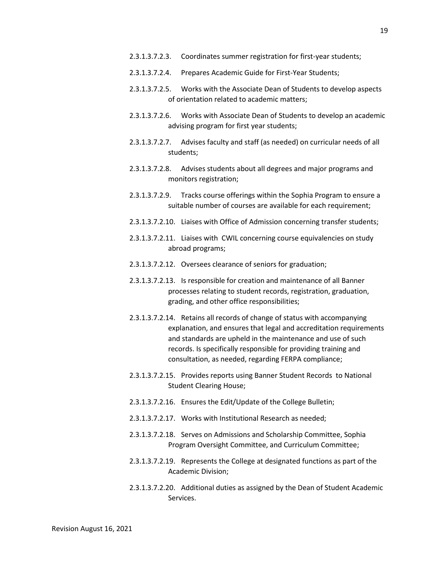- 2.3.1.3.7.2.3. Coordinates summer registration for first-year students;
- 2.3.1.3.7.2.4. Prepares Academic Guide for First-Year Students;
- 2.3.1.3.7.2.5. Works with the Associate Dean of Students to develop aspects of orientation related to academic matters;
- 2.3.1.3.7.2.6. Works with Associate Dean of Students to develop an academic advising program for first year students;
- 2.3.1.3.7.2.7. Advises faculty and staff (as needed) on curricular needs of all students;
- 2.3.1.3.7.2.8. Advises students about all degrees and major programs and monitors registration;
- 2.3.1.3.7.2.9. Tracks course offerings within the Sophia Program to ensure a suitable number of courses are available for each requirement;
- 2.3.1.3.7.2.10. Liaises with Office of Admission concerning transfer students;
- 2.3.1.3.7.2.11. Liaises with CWIL concerning course equivalencies on study abroad programs;
- 2.3.1.3.7.2.12. Oversees clearance of seniors for graduation;
- 2.3.1.3.7.2.13. Is responsible for creation and maintenance of all Banner processes relating to student records, registration, graduation, grading, and other office responsibilities;
- 2.3.1.3.7.2.14. Retains all records of change of status with accompanying explanation, and ensures that legal and accreditation requirements and standards are upheld in the maintenance and use of such records. Is specifically responsible for providing training and consultation, as needed, regarding FERPA compliance;
- 2.3.1.3.7.2.15. Provides reports using Banner Student Records to National Student Clearing House;
- 2.3.1.3.7.2.16. Ensures the Edit/Update of the College Bulletin;
- 2.3.1.3.7.2.17. Works with Institutional Research as needed;
- 2.3.1.3.7.2.18. Serves on Admissions and Scholarship Committee, Sophia Program Oversight Committee, and Curriculum Committee;
- 2.3.1.3.7.2.19. Represents the College at designated functions as part of the Academic Division;
- 2.3.1.3.7.2.20. Additional duties as assigned by the Dean of Student Academic Services.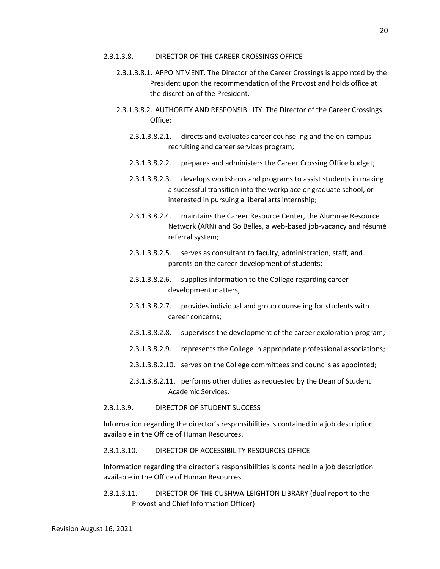- 2.3.1.3.8.1. APPOINTMENT. The Director of the Career Crossings is appointed by the President upon the recommendation of the Provost and holds office at the discretion of the President.
- 2.3.1.3.8.2. AUTHORITY AND RESPONSIBILITY. The Director of the Career Crossings Office:
	- 2.3.1.3.8.2.1. directs and evaluates career counseling and the on-campus recruiting and career services program;
	- 2.3.1.3.8.2.2. prepares and administers the Career Crossing Office budget;
	- 2.3.1.3.8.2.3. develops workshops and programs to assist students in making a successful transition into the workplace or graduate school, or interested in pursuing a liberal arts internship;
	- 2.3.1.3.8.2.4. maintains the Career Resource Center, the Alumnae Resource Network (ARN) and Go Belles, a web-based job-vacancy and résumé referral system;
	- 2.3.1.3.8.2.5. serves as consultant to faculty, administration, staff, and parents on the career development of students;
	- 2.3.1.3.8.2.6. supplies information to the College regarding career development matters;
	- 2.3.1.3.8.2.7. provides individual and group counseling for students with career concerns;
	- 2.3.1.3.8.2.8. supervises the development of the career exploration program;
	- 2.3.1.3.8.2.9. represents the College in appropriate professional associations;
	- 2.3.1.3.8.2.10. serves on the College committees and councils as appointed;
	- 2.3.1.3.8.2.11. performs other duties as requested by the Dean of Student Academic Services.

### 2.3.1.3.9. DIRECTOR OF STUDENT SUCCESS

Information regarding the director's responsibilities is contained in a job description available in the Office of Human Resources.

## 2.3.1.3.10. DIRECTOR OF ACCESSIBILITY RESOURCES OFFICE

Information regarding the director's responsibilities is contained in a job description available in the Office of Human Resources.

2.3.1.3.11. DIRECTOR OF THE CUSHWA-LEIGHTON LIBRARY (dual report to the Provost and Chief Information Officer)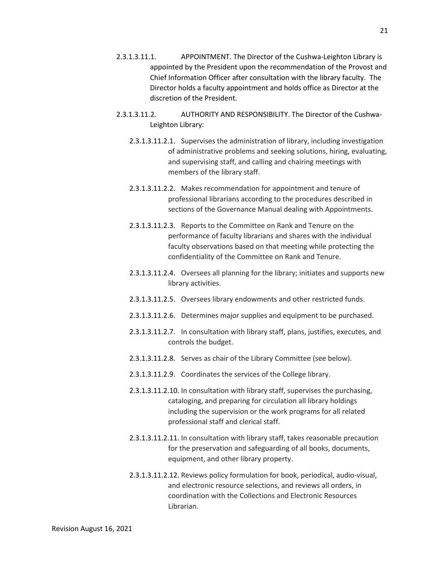- 2.3.1.3.11.2. AUTHORITY AND RESPONSIBILITY. The Director of the Cushwa-Leighton Library:
	- 2.3.1.3.11.2.1. Supervises the administration of library, including investigation of administrative problems and seeking solutions, hiring, evaluating, and supervising staff, and calling and chairing meetings with members of the library staff.
	- 2.3.1.3.11.2.2. Makes recommendation for appointment and tenure of professional librarians according to the procedures described in sections of the Governance Manual dealing with Appointments.
	- 2.3.1.3.11.2.3. Reports to the Committee on Rank and Tenure on the performance of faculty librarians and shares with the individual faculty observations based on that meeting while protecting the confidentiality of the Committee on Rank and Tenure.
	- 2.3.1.3.11.2.4. Oversees all planning for the library; initiates and supports new library activities.
	- 2.3.1.3.11.2.5. Oversees library endowments and other restricted funds.
	- 2.3.1.3.11.2.6. Determines major supplies and equipment to be purchased.
	- 2.3.1.3.11.2.7. In consultation with library staff, plans, justifies, executes, and controls the budget.
	- 2.3.1.3.11.2.8. Serves as chair of the Library Committee (see below).
	- 2.3.1.3.11.2.9. Coordinates the services of the College library.
	- 2.3.1.3.11.2.10. In consultation with library staff, supervises the purchasing, cataloging, and preparing for circulation all library holdings including the supervision or the work programs for all related professional staff and clerical staff.
	- 2.3.1.3.11.2.11. In consultation with library staff, takes reasonable precaution for the preservation and safeguarding of all books, documents, equipment, and other library property.
	- 2.3.1.3.11.2.12. Reviews policy formulation for book, periodical, audio-visual, and electronic resource selections, and reviews all orders, in coordination with the Collections and Electronic Resources Librarian.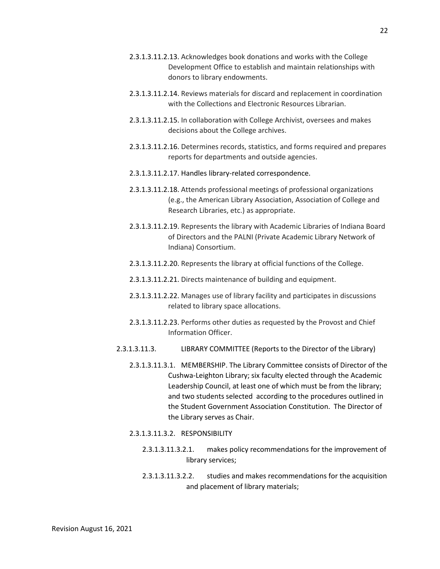- 2.3.1.3.11.2.13. Acknowledges book donations and works with the College Development Office to establish and maintain relationships with donors to library endowments.
- 2.3.1.3.11.2.14. Reviews materials for discard and replacement in coordination with the Collections and Electronic Resources Librarian.
- 2.3.1.3.11.2.15. In collaboration with College Archivist, oversees and makes decisions about the College archives.
- 2.3.1.3.11.2.16. Determines records, statistics, and forms required and prepares reports for departments and outside agencies.
- 2.3.1.3.11.2.17. Handles library-related correspondence.
- 2.3.1.3.11.2.18. Attends professional meetings of professional organizations (e.g., the American Library Association, Association of College and Research Libraries, etc.) as appropriate.
- 2.3.1.3.11.2.19. Represents the library with Academic Libraries of Indiana Board of Directors and the PALNI (Private Academic Library Network of Indiana) Consortium.
- 2.3.1.3.11.2.20. Represents the library at official functions of the College.
- 2.3.1.3.11.2.21. Directs maintenance of building and equipment.
- 2.3.1.3.11.2.22. Manages use of library facility and participates in discussions related to library space allocations.
- 2.3.1.3.11.2.23. Performs other duties as requested by the Provost and Chief Information Officer.
- 2.3.1.3.11.3. LIBRARY COMMITTEE (Reports to the Director of the Library)
	- 2.3.1.3.11.3.1. MEMBERSHIP. The Library Committee consists of Director of the Cushwa-Leighton Library; six faculty elected through the Academic Leadership Council, at least one of which must be from the library; and two students selected according to the procedures outlined in the Student Government Association Constitution. The Director of the Library serves as Chair.
	- 2.3.1.3.11.3.2. RESPONSIBILITY
		- 2.3.1.3.11.3.2.1. makes policy recommendations for the improvement of library services;
		- 2.3.1.3.11.3.2.2. studies and makes recommendations for the acquisition and placement of library materials;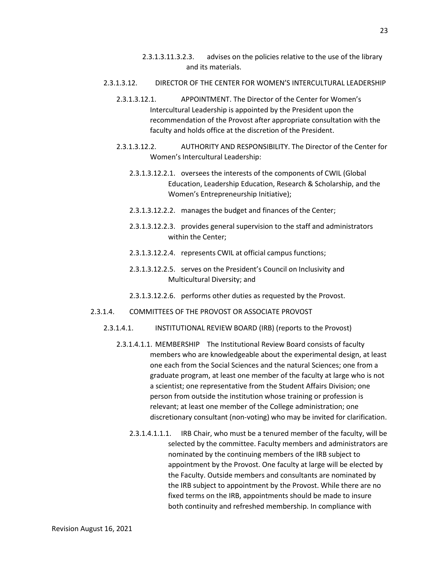### 2.3.1.3.12. DIRECTOR OF THE CENTER FOR WOMEN'S INTERCULTURAL LEADERSHIP

- 2.3.1.3.12.1. APPOINTMENT. The Director of the Center for Women's Intercultural Leadership is appointed by the President upon the recommendation of the Provost after appropriate consultation with the faculty and holds office at the discretion of the President.
- 2.3.1.3.12.2. AUTHORITY AND RESPONSIBILITY. The Director of the Center for Women's Intercultural Leadership:
	- 2.3.1.3.12.2.1. oversees the interests of the components of CWIL (Global Education, Leadership Education, Research & Scholarship, and the Women's Entrepreneurship Initiative);
	- 2.3.1.3.12.2.2. manages the budget and finances of the Center;
	- 2.3.1.3.12.2.3. provides general supervision to the staff and administrators within the Center;
	- 2.3.1.3.12.2.4. represents CWIL at official campus functions;
	- 2.3.1.3.12.2.5. serves on the President's Council on Inclusivity and Multicultural Diversity; and
	- 2.3.1.3.12.2.6. performs other duties as requested by the Provost.
- 2.3.1.4. COMMITTEES OF THE PROVOST OR ASSOCIATE PROVOST
	- 2.3.1.4.1. INSTITUTIONAL REVIEW BOARD (IRB) (reports to the Provost)
		- 2.3.1.4.1.1. MEMBERSHIP The Institutional Review Board consists of faculty members who are knowledgeable about the experimental design, at least one each from the Social Sciences and the natural Sciences; one from a graduate program, at least one member of the faculty at large who is not a scientist; one representative from the Student Affairs Division; one person from outside the institution whose training or profession is relevant; at least one member of the College administration; one discretionary consultant (non-voting) who may be invited for clarification.
			- 2.3.1.4.1.1.1. IRB Chair, who must be a tenured member of the faculty, will be selected by the committee. Faculty members and administrators are nominated by the continuing members of the IRB subject to appointment by the Provost. One faculty at large will be elected by the Faculty. Outside members and consultants are nominated by the IRB subject to appointment by the Provost. While there are no fixed terms on the IRB, appointments should be made to insure both continuity and refreshed membership. In compliance with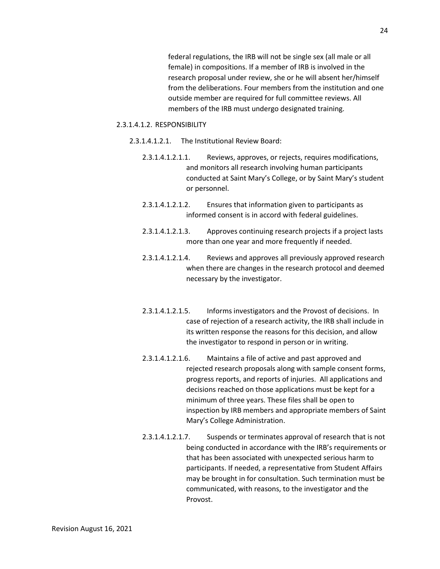federal regulations, the IRB will not be single sex (all male or all female) in compositions. If a member of IRB is involved in the research proposal under review, she or he will absent her/himself from the deliberations. Four members from the institution and one outside member are required for full committee reviews. All members of the IRB must undergo designated training.

#### 2.3.1.4.1.2. RESPONSIBILITY

- 2.3.1.4.1.2.1. The Institutional Review Board:
	- 2.3.1.4.1.2.1.1. Reviews, approves, or rejects, requires modifications, and monitors all research involving human participants conducted at Saint Mary's College, or by Saint Mary's student or personnel.
	- 2.3.1.4.1.2.1.2. Ensures that information given to participants as informed consent is in accord with federal guidelines.
	- 2.3.1.4.1.2.1.3. Approves continuing research projects if a project lasts more than one year and more frequently if needed.
	- 2.3.1.4.1.2.1.4. Reviews and approves all previously approved research when there are changes in the research protocol and deemed necessary by the investigator.
	- 2.3.1.4.1.2.1.5. Informs investigators and the Provost of decisions. In case of rejection of a research activity, the IRB shall include in its written response the reasons for this decision, and allow the investigator to respond in person or in writing.
	- 2.3.1.4.1.2.1.6. Maintains a file of active and past approved and rejected research proposals along with sample consent forms, progress reports, and reports of injuries. All applications and decisions reached on those applications must be kept for a minimum of three years. These files shall be open to inspection by IRB members and appropriate members of Saint Mary's College Administration.
	- 2.3.1.4.1.2.1.7. Suspends or terminates approval of research that is not being conducted in accordance with the IRB's requirements or that has been associated with unexpected serious harm to participants. If needed, a representative from Student Affairs may be brought in for consultation. Such termination must be communicated, with reasons, to the investigator and the Provost.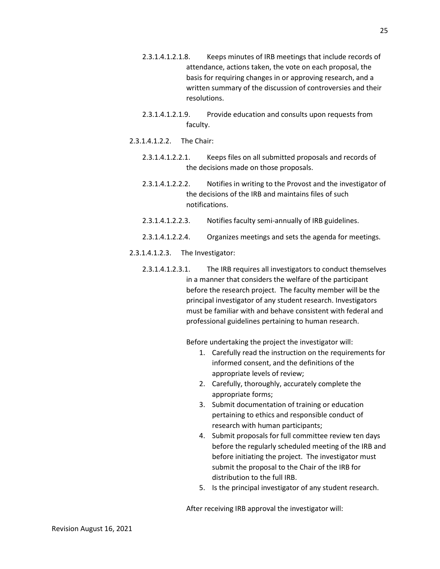- 2.3.1.4.1.2.1.8. Keeps minutes of IRB meetings that include records of attendance, actions taken, the vote on each proposal, the basis for requiring changes in or approving research, and a written summary of the discussion of controversies and their resolutions.
- 2.3.1.4.1.2.1.9. Provide education and consults upon requests from faculty.
- 2.3.1.4.1.2.2. The Chair:
	- 2.3.1.4.1.2.2.1. Keeps files on all submitted proposals and records of the decisions made on those proposals.
	- 2.3.1.4.1.2.2.2. Notifies in writing to the Provost and the investigator of the decisions of the IRB and maintains files of such notifications.
	- 2.3.1.4.1.2.2.3. Notifies faculty semi-annually of IRB guidelines.
	- 2.3.1.4.1.2.2.4. Organizes meetings and sets the agenda for meetings.
- 2.3.1.4.1.2.3. The Investigator:
	- 2.3.1.4.1.2.3.1. The IRB requires all investigators to conduct themselves in a manner that considers the welfare of the participant before the research project. The faculty member will be the principal investigator of any student research. Investigators must be familiar with and behave consistent with federal and professional guidelines pertaining to human research.

Before undertaking the project the investigator will:

- 1. Carefully read the instruction on the requirements for informed consent, and the definitions of the appropriate levels of review;
- 2. Carefully, thoroughly, accurately complete the appropriate forms;
- 3. Submit documentation of training or education pertaining to ethics and responsible conduct of research with human participants;
- 4. Submit proposals for full committee review ten days before the regularly scheduled meeting of the IRB and before initiating the project. The investigator must submit the proposal to the Chair of the IRB for distribution to the full IRB.
- 5. Is the principal investigator of any student research.

After receiving IRB approval the investigator will: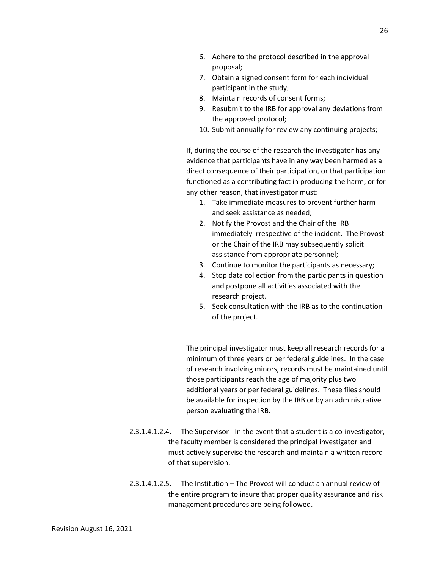- 6. Adhere to the protocol described in the approval proposal;
- 7. Obtain a signed consent form for each individual participant in the study;
- 8. Maintain records of consent forms;
- 9. Resubmit to the IRB for approval any deviations from the approved protocol;
- 10. Submit annually for review any continuing projects;

If, during the course of the research the investigator has any evidence that participants have in any way been harmed as a direct consequence of their participation, or that participation functioned as a contributing fact in producing the harm, or for any other reason, that investigator must:

- 1. Take immediate measures to prevent further harm and seek assistance as needed;
- 2. Notify the Provost and the Chair of the IRB immediately irrespective of the incident. The Provost or the Chair of the IRB may subsequently solicit assistance from appropriate personnel;
- 3. Continue to monitor the participants as necessary;
- 4. Stop data collection from the participants in question and postpone all activities associated with the research project.
- 5. Seek consultation with the IRB as to the continuation of the project.

The principal investigator must keep all research records for a minimum of three years or per federal guidelines. In the case of research involving minors, records must be maintained until those participants reach the age of majority plus two additional years or per federal guidelines. These files should be available for inspection by the IRB or by an administrative person evaluating the IRB.

- 2.3.1.4.1.2.4. The Supervisor In the event that a student is a co-investigator, the faculty member is considered the principal investigator and must actively supervise the research and maintain a written record of that supervision.
- 2.3.1.4.1.2.5. The Institution The Provost will conduct an annual review of the entire program to insure that proper quality assurance and risk management procedures are being followed.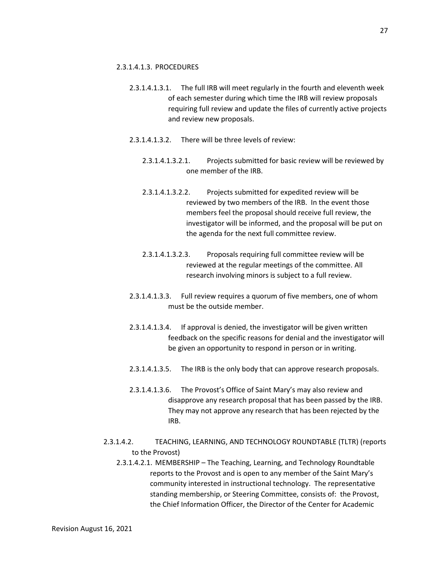### 2.3.1.4.1.3. PROCEDURES

- 2.3.1.4.1.3.1. The full IRB will meet regularly in the fourth and eleventh week of each semester during which time the IRB will review proposals requiring full review and update the files of currently active projects and review new proposals.
- 2.3.1.4.1.3.2. There will be three levels of review:
	- 2.3.1.4.1.3.2.1. Projects submitted for basic review will be reviewed by one member of the IRB.
	- 2.3.1.4.1.3.2.2. Projects submitted for expedited review will be reviewed by two members of the IRB. In the event those members feel the proposal should receive full review, the investigator will be informed, and the proposal will be put on the agenda for the next full committee review.
	- 2.3.1.4.1.3.2.3. Proposals requiring full committee review will be reviewed at the regular meetings of the committee. All research involving minors is subject to a full review.
- 2.3.1.4.1.3.3. Full review requires a quorum of five members, one of whom must be the outside member.
- 2.3.1.4.1.3.4. If approval is denied, the investigator will be given written feedback on the specific reasons for denial and the investigator will be given an opportunity to respond in person or in writing.
- 2.3.1.4.1.3.5. The IRB is the only body that can approve research proposals.
- 2.3.1.4.1.3.6. The Provost's Office of Saint Mary's may also review and disapprove any research proposal that has been passed by the IRB. They may not approve any research that has been rejected by the IRB.
- 2.3.1.4.2. TEACHING, LEARNING, AND TECHNOLOGY ROUNDTABLE (TLTR) (reports to the Provost)
	- 2.3.1.4.2.1. MEMBERSHIP The Teaching, Learning, and Technology Roundtable reports to the Provost and is open to any member of the Saint Mary's community interested in instructional technology. The representative standing membership, or Steering Committee, consists of: the Provost, the Chief Information Officer, the Director of the Center for Academic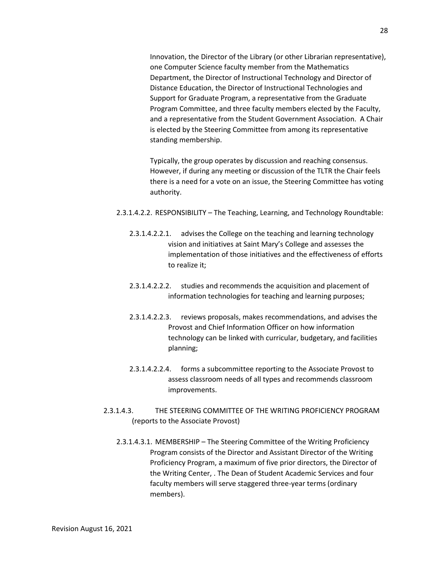Innovation, the Director of the Library (or other Librarian representative), one Computer Science faculty member from the Mathematics Department, the Director of Instructional Technology and Director of Distance Education, the Director of Instructional Technologies and Support for Graduate Program, a representative from the Graduate Program Committee, and three faculty members elected by the Faculty, and a representative from the Student Government Association. A Chair is elected by the Steering Committee from among its representative standing membership.

Typically, the group operates by discussion and reaching consensus. However, if during any meeting or discussion of the TLTR the Chair feels there is a need for a vote on an issue, the Steering Committee has voting authority.

- 2.3.1.4.2.2. RESPONSIBILITY The Teaching, Learning, and Technology Roundtable:
	- 2.3.1.4.2.2.1. advises the College on the teaching and learning technology vision and initiatives at Saint Mary's College and assesses the implementation of those initiatives and the effectiveness of efforts to realize it;
	- 2.3.1.4.2.2.2. studies and recommends the acquisition and placement of information technologies for teaching and learning purposes;
	- 2.3.1.4.2.2.3. reviews proposals, makes recommendations, and advises the Provost and Chief Information Officer on how information technology can be linked with curricular, budgetary, and facilities planning;
	- 2.3.1.4.2.2.4. forms a subcommittee reporting to the Associate Provost to assess classroom needs of all types and recommends classroom improvements.
- 2.3.1.4.3. THE STEERING COMMITTEE OF THE WRITING PROFICIENCY PROGRAM (reports to the Associate Provost)
	- 2.3.1.4.3.1. MEMBERSHIP The Steering Committee of the Writing Proficiency Program consists of the Director and Assistant Director of the Writing Proficiency Program, a maximum of five prior directors, the Director of the Writing Center, . The Dean of Student Academic Services and four faculty members will serve staggered three-year terms (ordinary members).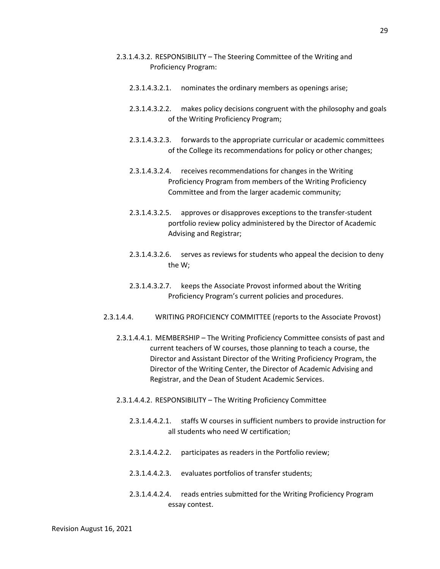- 2.3.1.4.3.2. RESPONSIBILITY The Steering Committee of the Writing and Proficiency Program:
	- 2.3.1.4.3.2.1. nominates the ordinary members as openings arise;
	- 2.3.1.4.3.2.2. makes policy decisions congruent with the philosophy and goals of the Writing Proficiency Program;
	- 2.3.1.4.3.2.3. forwards to the appropriate curricular or academic committees of the College its recommendations for policy or other changes;
	- 2.3.1.4.3.2.4. receives recommendations for changes in the Writing Proficiency Program from members of the Writing Proficiency Committee and from the larger academic community;
	- 2.3.1.4.3.2.5. approves or disapproves exceptions to the transfer-student portfolio review policy administered by the Director of Academic Advising and Registrar;
	- 2.3.1.4.3.2.6. serves as reviews for students who appeal the decision to deny the W;
	- 2.3.1.4.3.2.7. keeps the Associate Provost informed about the Writing Proficiency Program's current policies and procedures.
- 2.3.1.4.4. WRITING PROFICIENCY COMMITTEE (reports to the Associate Provost)
	- 2.3.1.4.4.1. MEMBERSHIP The Writing Proficiency Committee consists of past and current teachers of W courses, those planning to teach a course, the Director and Assistant Director of the Writing Proficiency Program, the Director of the Writing Center, the Director of Academic Advising and Registrar, and the Dean of Student Academic Services.
	- 2.3.1.4.4.2. RESPONSIBILITY The Writing Proficiency Committee
		- 2.3.1.4.4.2.1. staffs W courses in sufficient numbers to provide instruction for all students who need W certification;
		- 2.3.1.4.4.2.2. participates as readers in the Portfolio review;
		- 2.3.1.4.4.2.3. evaluates portfolios of transfer students;
		- 2.3.1.4.4.2.4. reads entries submitted for the Writing Proficiency Program essay contest.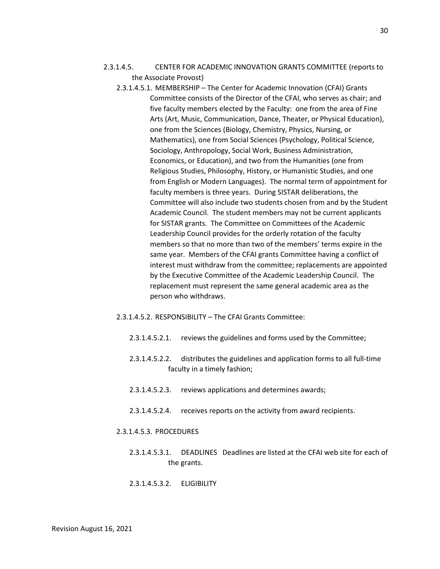- 2.3.1.4.5. CENTER FOR ACADEMIC INNOVATION GRANTS COMMITTEE (reports to the Associate Provost)
	- 2.3.1.4.5.1. MEMBERSHIP The Center for Academic Innovation (CFAI) Grants Committee consists of the Director of the CFAI, who serves as chair; and five faculty members elected by the Faculty: one from the area of Fine Arts (Art, Music, Communication, Dance, Theater, or Physical Education), one from the Sciences (Biology, Chemistry, Physics, Nursing, or Mathematics), one from Social Sciences (Psychology, Political Science, Sociology, Anthropology, Social Work, Business Administration, Economics, or Education), and two from the Humanities (one from Religious Studies, Philosophy, History, or Humanistic Studies, and one from English or Modern Languages). The normal term of appointment for faculty members is three years. During SISTAR deliberations, the Committee will also include two students chosen from and by the Student Academic Council. The student members may not be current applicants for SISTAR grants. The Committee on Committees of the Academic Leadership Council provides for the orderly rotation of the faculty members so that no more than two of the members' terms expire in the same year. Members of the CFAI grants Committee having a conflict of interest must withdraw from the committee; replacements are appointed by the Executive Committee of the Academic Leadership Council. The replacement must represent the same general academic area as the person who withdraws.
	- 2.3.1.4.5.2. RESPONSIBILITY The CFAI Grants Committee:
		- 2.3.1.4.5.2.1. reviews the guidelines and forms used by the Committee;
		- 2.3.1.4.5.2.2. distributes the guidelines and application forms to all full-time faculty in a timely fashion;
		- 2.3.1.4.5.2.3. reviews applications and determines awards;
		- 2.3.1.4.5.2.4. receives reports on the activity from award recipients.

#### 2.3.1.4.5.3. PROCEDURES

- 2.3.1.4.5.3.1. DEADLINES Deadlines are listed at the CFAI web site for each of the grants.
- 2.3.1.4.5.3.2. ELIGIBILITY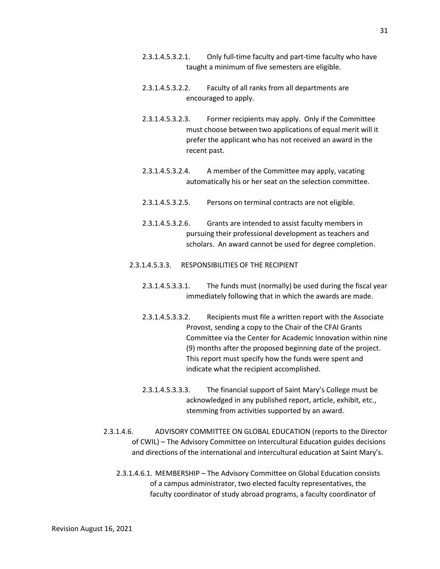31

- 2.3.1.4.5.3.2.1. Only full-time faculty and part-time faculty who have taught a minimum of five semesters are eligible.
- 2.3.1.4.5.3.2.2. Faculty of all ranks from all departments are encouraged to apply.
- 2.3.1.4.5.3.2.3. Former recipients may apply. Only if the Committee must choose between two applications of equal merit will it prefer the applicant who has not received an award in the recent past.
- 2.3.1.4.5.3.2.4. A member of the Committee may apply, vacating automatically his or her seat on the selection committee.
- 2.3.1.4.5.3.2.5. Persons on terminal contracts are not eligible.
- 2.3.1.4.5.3.2.6. Grants are intended to assist faculty members in pursuing their professional development as teachers and scholars. An award cannot be used for degree completion.
- 2.3.1.4.5.3.3. RESPONSIBILITIES OF THE RECIPIENT
	- 2.3.1.4.5.3.3.1. The funds must (normally) be used during the fiscal year immediately following that in which the awards are made.
	- 2.3.1.4.5.3.3.2. Recipients must file a written report with the Associate Provost, sending a copy to the Chair of the CFAI Grants Committee via the Center for Academic Innovation within nine (9) months after the proposed beginning date of the project. This report must specify how the funds were spent and indicate what the recipient accomplished.
	- 2.3.1.4.5.3.3.3. The financial support of Saint Mary's College must be acknowledged in any published report, article, exhibit, etc., stemming from activities supported by an award.
- 2.3.1.4.6. ADVISORY COMMITTEE ON GLOBAL EDUCATION (reports to the Director of CWIL) – The Advisory Committee on Intercultural Education guides decisions and directions of the international and intercultural education at Saint Mary's.
	- 2.3.1.4.6.1. MEMBERSHIP The Advisory Committee on Global Education consists of a campus administrator, two elected faculty representatives, the faculty coordinator of study abroad programs, a faculty coordinator of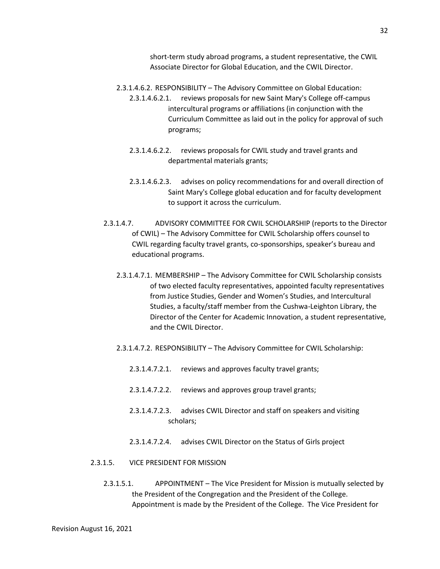short-term study abroad programs, a student representative, the CWIL Associate Director for Global Education, and the CWIL Director.

- 2.3.1.4.6.2. RESPONSIBILITY The Advisory Committee on Global Education:
	- 2.3.1.4.6.2.1. reviews proposals for new Saint Mary's College off-campus intercultural programs or affiliations (in conjunction with the Curriculum Committee as laid out in the policy for approval of such programs;
	- 2.3.1.4.6.2.2. reviews proposals for CWIL study and travel grants and departmental materials grants;
	- 2.3.1.4.6.2.3. advises on policy recommendations for and overall direction of Saint Mary's College global education and for faculty development to support it across the curriculum.
- 2.3.1.4.7. ADVISORY COMMITTEE FOR CWIL SCHOLARSHIP (reports to the Director of CWIL) – The Advisory Committee for CWIL Scholarship offers counsel to CWIL regarding faculty travel grants, co-sponsorships, speaker's bureau and educational programs.
	- 2.3.1.4.7.1. MEMBERSHIP The Advisory Committee for CWIL Scholarship consists of two elected faculty representatives, appointed faculty representatives from Justice Studies, Gender and Women's Studies, and Intercultural Studies, a faculty/staff member from the Cushwa-Leighton Library, the Director of the Center for Academic Innovation, a student representative, and the CWIL Director.
	- 2.3.1.4.7.2. RESPONSIBILITY The Advisory Committee for CWIL Scholarship:
		- 2.3.1.4.7.2.1. reviews and approves faculty travel grants;
		- 2.3.1.4.7.2.2. reviews and approves group travel grants;
		- 2.3.1.4.7.2.3. advises CWIL Director and staff on speakers and visiting scholars;
		- 2.3.1.4.7.2.4. advises CWIL Director on the Status of Girls project

### 2.3.1.5. VICE PRESIDENT FOR MISSION

2.3.1.5.1. APPOINTMENT – The Vice President for Mission is mutually selected by the President of the Congregation and the President of the College. Appointment is made by the President of the College. The Vice President for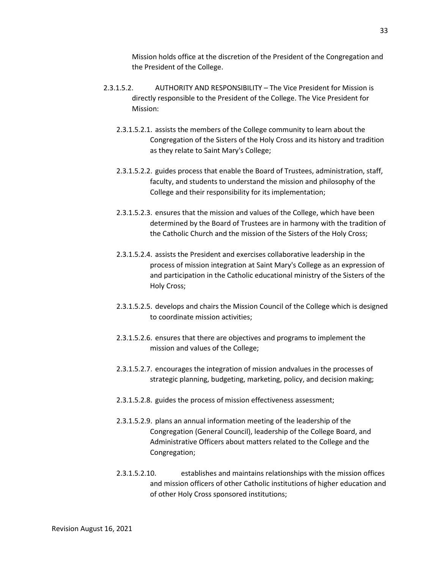Mission holds office at the discretion of the President of the Congregation and the President of the College.

- 2.3.1.5.2. AUTHORITY AND RESPONSIBILITY The Vice President for Mission is directly responsible to the President of the College. The Vice President for Mission:
	- 2.3.1.5.2.1. assists the members of the College community to learn about the Congregation of the Sisters of the Holy Cross and its history and tradition as they relate to Saint Mary's College;
	- 2.3.1.5.2.2. guides process that enable the Board of Trustees, administration, staff, faculty, and students to understand the mission and philosophy of the College and their responsibility for its implementation;
	- 2.3.1.5.2.3. ensures that the mission and values of the College, which have been determined by the Board of Trustees are in harmony with the tradition of the Catholic Church and the mission of the Sisters of the Holy Cross;
	- 2.3.1.5.2.4. assists the President and exercises collaborative leadership in the process of mission integration at Saint Mary's College as an expression of and participation in the Catholic educational ministry of the Sisters of the Holy Cross;
	- 2.3.1.5.2.5. develops and chairs the Mission Council of the College which is designed to coordinate mission activities;
	- 2.3.1.5.2.6. ensures that there are objectives and programs to implement the mission and values of the College;
	- 2.3.1.5.2.7. encourages the integration of mission andvalues in the processes of strategic planning, budgeting, marketing, policy, and decision making;
	- 2.3.1.5.2.8. guides the process of mission effectiveness assessment;
	- 2.3.1.5.2.9. plans an annual information meeting of the leadership of the Congregation (General Council), leadership of the College Board, and Administrative Officers about matters related to the College and the Congregation;
	- 2.3.1.5.2.10. establishes and maintains relationships with the mission offices and mission officers of other Catholic institutions of higher education and of other Holy Cross sponsored institutions;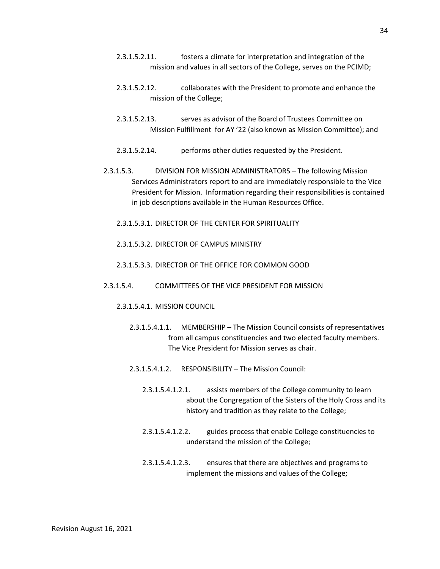- 2.3.1.5.2.11. fosters a climate for interpretation and integration of the mission and values in all sectors of the College, serves on the PCIMD;
- 2.3.1.5.2.12. collaborates with the President to promote and enhance the mission of the College;
- 2.3.1.5.2.13. serves as advisor of the Board of Trustees Committee on Mission Fulfillment for AY '22 (also known as Mission Committee); and
- 2.3.1.5.2.14. performs other duties requested by the President.
- 2.3.1.5.3. DIVISION FOR MISSION ADMINISTRATORS The following Mission Services Administrators report to and are immediately responsible to the Vice President for Mission. Information regarding their responsibilities is contained in job descriptions available in the Human Resources Office.
	- 2.3.1.5.3.1. DIRECTOR OF THE CENTER FOR SPIRITUALITY
	- 2.3.1.5.3.2. DIRECTOR OF CAMPUS MINISTRY
	- 2.3.1.5.3.3. DIRECTOR OF THE OFFICE FOR COMMON GOOD
- 2.3.1.5.4. COMMITTEES OF THE VICE PRESIDENT FOR MISSION
	- 2.3.1.5.4.1. MISSION COUNCIL
		- 2.3.1.5.4.1.1. MEMBERSHIP The Mission Council consists of representatives from all campus constituencies and two elected faculty members. The Vice President for Mission serves as chair.
		- 2.3.1.5.4.1.2. RESPONSIBILITY The Mission Council:
			- 2.3.1.5.4.1.2.1. assists members of the College community to learn about the Congregation of the Sisters of the Holy Cross and its history and tradition as they relate to the College;
			- 2.3.1.5.4.1.2.2. guides process that enable College constituencies to understand the mission of the College;
			- 2.3.1.5.4.1.2.3. ensures that there are objectives and programs to implement the missions and values of the College;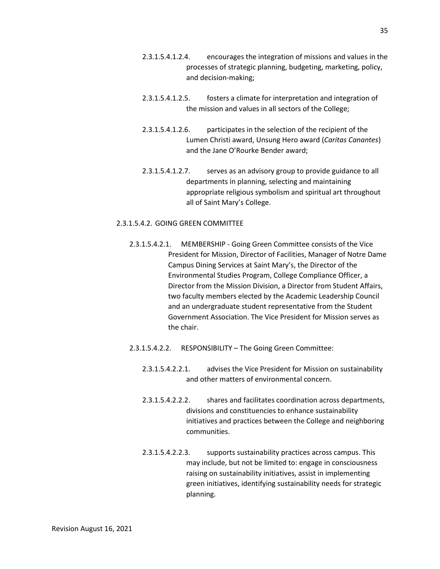- 2.3.1.5.4.1.2.4. encourages the integration of missions and values in the processes of strategic planning, budgeting, marketing, policy, and decision-making;
- 2.3.1.5.4.1.2.5. fosters a climate for interpretation and integration of the mission and values in all sectors of the College;
- 2.3.1.5.4.1.2.6. participates in the selection of the recipient of the Lumen Christi award, Unsung Hero award (*Caritas Canantes*) and the Jane O'Rourke Bender award;
- 2.3.1.5.4.1.2.7. serves as an advisory group to provide guidance to all departments in planning, selecting and maintaining appropriate religious symbolism and spiritual art throughout all of Saint Mary's College.

### 2.3.1.5.4.2. GOING GREEN COMMITTEE

- 2.3.1.5.4.2.1. MEMBERSHIP Going Green Committee consists of the Vice President for Mission, Director of Facilities, Manager of Notre Dame Campus Dining Services at Saint Mary's, the Director of the Environmental Studies Program, College Compliance Officer, a Director from the Mission Division, a Director from Student Affairs, two faculty members elected by the Academic Leadership Council and an undergraduate student representative from the Student Government Association. The Vice President for Mission serves as the chair.
- 2.3.1.5.4.2.2. RESPONSIBILITY The Going Green Committee:
	- 2.3.1.5.4.2.2.1. advises the Vice President for Mission on sustainability and other matters of environmental concern.
	- 2.3.1.5.4.2.2.2. shares and facilitates coordination across departments, divisions and constituencies to enhance sustainability initiatives and practices between the College and neighboring communities.
	- 2.3.1.5.4.2.2.3. supports sustainability practices across campus. This may include, but not be limited to: engage in consciousness raising on sustainability initiatives, assist in implementing green initiatives, identifying sustainability needs for strategic planning.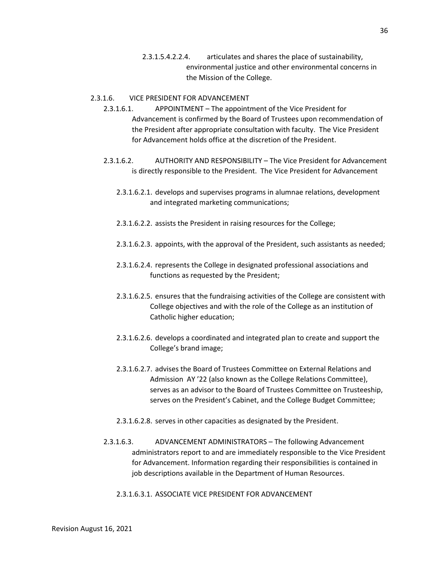2.3.1.5.4.2.2.4. articulates and shares the place of sustainability, environmental justice and other environmental concerns in the Mission of the College.

### 2.3.1.6. VICE PRESIDENT FOR ADVANCEMENT

- 2.3.1.6.1. APPOINTMENT The appointment of the Vice President for Advancement is confirmed by the Board of Trustees upon recommendation of the President after appropriate consultation with faculty. The Vice President for Advancement holds office at the discretion of the President.
- 2.3.1.6.2. AUTHORITY AND RESPONSIBILITY The Vice President for Advancement is directly responsible to the President. The Vice President for Advancement
	- 2.3.1.6.2.1. develops and supervises programs in alumnae relations, development and integrated marketing communications;
	- 2.3.1.6.2.2. assists the President in raising resources for the College;
	- 2.3.1.6.2.3. appoints, with the approval of the President, such assistants as needed;
	- 2.3.1.6.2.4. represents the College in designated professional associations and functions as requested by the President;
	- 2.3.1.6.2.5. ensures that the fundraising activities of the College are consistent with College objectives and with the role of the College as an institution of Catholic higher education;
	- 2.3.1.6.2.6. develops a coordinated and integrated plan to create and support the College's brand image;
	- 2.3.1.6.2.7. advises the Board of Trustees Committee on External Relations and Admission AY '22 (also known as the College Relations Committee), serves as an advisor to the Board of Trustees Committee on Trusteeship, serves on the President's Cabinet, and the College Budget Committee;
	- 2.3.1.6.2.8. serves in other capacities as designated by the President.
- 2.3.1.6.3. ADVANCEMENT ADMINISTRATORS The following Advancement administrators report to and are immediately responsible to the Vice President for Advancement. Information regarding their responsibilities is contained in job descriptions available in the Department of Human Resources.
	- 2.3.1.6.3.1. ASSOCIATE VICE PRESIDENT FOR ADVANCEMENT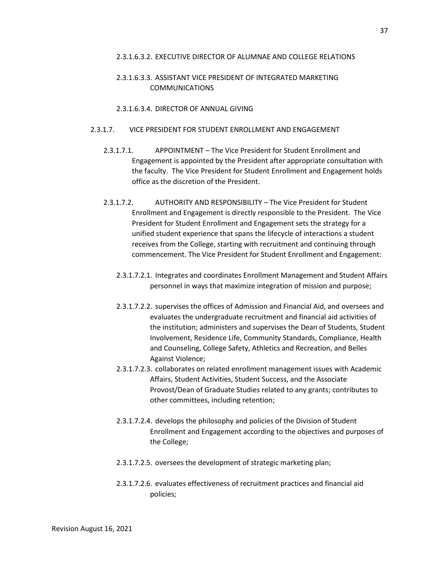### 2.3.1.6.3.2. EXECUTIVE DIRECTOR OF ALUMNAE AND COLLEGE RELATIONS

# 2.3.1.6.3.3. ASSISTANT VICE PRESIDENT OF INTEGRATED MARKETING COMMUNICATIONS

### 2.3.1.6.3.4. DIRECTOR OF ANNUAL GIVING

### 2.3.1.7. VICE PRESIDENT FOR STUDENT ENROLLMENT AND ENGAGEMENT

- 2.3.1.7.1. APPOINTMENT The Vice President for Student Enrollment and Engagement is appointed by the President after appropriate consultation with the faculty. The Vice President for Student Enrollment and Engagement holds office as the discretion of the President.
- 2.3.1.7.2. AUTHORITY AND RESPONSIBILITY The Vice President for Student Enrollment and Engagement is directly responsible to the President. The Vice President for Student Enrollment and Engagement sets the strategy for a unified student experience that spans the lifecycle of interactions a student receives from the College, starting with recruitment and continuing through commencement. The Vice President for Student Enrollment and Engagement:
	- 2.3.1.7.2.1. Integrates and coordinates Enrollment Management and Student Affairs personnel in ways that maximize integration of mission and purpose;
	- 2.3.1.7.2.2. supervises the offices of Admission and Financial Aid, and oversees and evaluates the undergraduate recruitment and financial aid activities of the institution; administers and supervises the Dean of Students, Student Involvement, Residence Life, Community Standards, Compliance, Health and Counseling, College Safety, Athletics and Recreation, and Belles Against Violence;
	- 2.3.1.7.2.3. collaborates on related enrollment management issues with Academic Affairs, Student Activities, Student Success, and the Associate Provost/Dean of Graduate Studies related to any grants; contributes to other committees, including retention;
	- 2.3.1.7.2.4. develops the philosophy and policies of the Division of Student Enrollment and Engagement according to the objectives and purposes of the College;
	- 2.3.1.7.2.5. oversees the development of strategic marketing plan;
	- 2.3.1.7.2.6. evaluates effectiveness of recruitment practices and financial aid policies;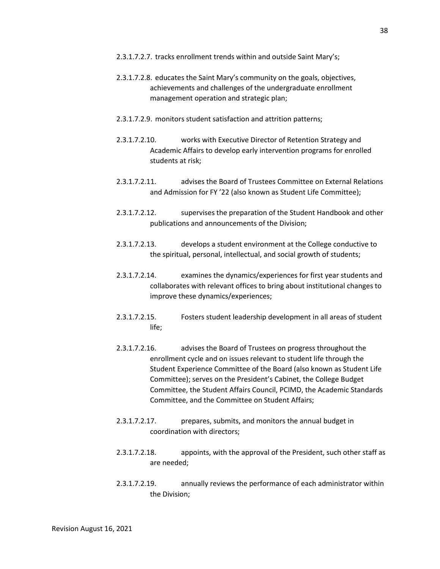- 2.3.1.7.2.7. tracks enrollment trends within and outside Saint Mary's;
- 2.3.1.7.2.8. educates the Saint Mary's community on the goals, objectives, achievements and challenges of the undergraduate enrollment management operation and strategic plan;
- 2.3.1.7.2.9. monitors student satisfaction and attrition patterns;
- 2.3.1.7.2.10. works with Executive Director of Retention Strategy and Academic Affairs to develop early intervention programs for enrolled students at risk;
- 2.3.1.7.2.11. advises the Board of Trustees Committee on External Relations and Admission for FY '22 (also known as Student Life Committee);
- 2.3.1.7.2.12. supervises the preparation of the Student Handbook and other publications and announcements of the Division;
- 2.3.1.7.2.13. develops a student environment at the College conductive to the spiritual, personal, intellectual, and social growth of students;
- 2.3.1.7.2.14. examines the dynamics/experiences for first year students and collaborates with relevant offices to bring about institutional changes to improve these dynamics/experiences;
- 2.3.1.7.2.15. Fosters student leadership development in all areas of student life;
- 2.3.1.7.2.16. advises the Board of Trustees on progress throughout the enrollment cycle and on issues relevant to student life through the Student Experience Committee of the Board (also known as Student Life Committee); serves on the President's Cabinet, the College Budget Committee, the Student Affairs Council, PCIMD, the Academic Standards Committee, and the Committee on Student Affairs;
- 2.3.1.7.2.17. prepares, submits, and monitors the annual budget in coordination with directors;
- 2.3.1.7.2.18. appoints, with the approval of the President, such other staff as are needed;
- 2.3.1.7.2.19. annually reviews the performance of each administrator within the Division;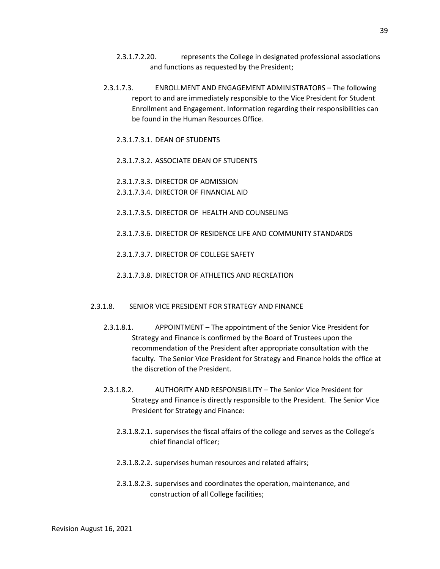- 2.3.1.7.2.20. represents the College in designated professional associations and functions as requested by the President;
- 2.3.1.7.3. ENROLLMENT AND ENGAGEMENT ADMINISTRATORS The following report to and are immediately responsible to the Vice President for Student Enrollment and Engagement. Information regarding their responsibilities can be found in the Human Resources Office.
	- 2.3.1.7.3.1. DEAN OF STUDENTS
	- 2.3.1.7.3.2. ASSOCIATE DEAN OF STUDENTS
	- 2.3.1.7.3.3. DIRECTOR OF ADMISSION
	- 2.3.1.7.3.4. DIRECTOR OF FINANCIAL AID
	- 2.3.1.7.3.5. DIRECTOR OF HEALTH AND COUNSELING
	- 2.3.1.7.3.6. DIRECTOR OF RESIDENCE LIFE AND COMMUNITY STANDARDS
	- 2.3.1.7.3.7. DIRECTOR OF COLLEGE SAFETY
	- 2.3.1.7.3.8. DIRECTOR OF ATHLETICS AND RECREATION
- 2.3.1.8. SENIOR VICE PRESIDENT FOR STRATEGY AND FINANCE
	- 2.3.1.8.1. APPOINTMENT The appointment of the Senior Vice President for Strategy and Finance is confirmed by the Board of Trustees upon the recommendation of the President after appropriate consultation with the faculty. The Senior Vice President for Strategy and Finance holds the office at the discretion of the President.
	- 2.3.1.8.2. AUTHORITY AND RESPONSIBILITY The Senior Vice President for Strategy and Finance is directly responsible to the President. The Senior Vice President for Strategy and Finance:
		- 2.3.1.8.2.1. supervises the fiscal affairs of the college and serves as the College's chief financial officer;
		- 2.3.1.8.2.2. supervises human resources and related affairs;
		- 2.3.1.8.2.3. supervises and coordinates the operation, maintenance, and construction of all College facilities;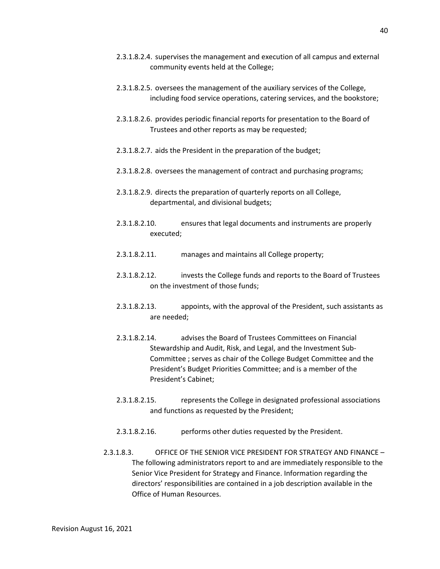- 2.3.1.8.2.5. oversees the management of the auxiliary services of the College, including food service operations, catering services, and the bookstore;
- 2.3.1.8.2.6. provides periodic financial reports for presentation to the Board of Trustees and other reports as may be requested;
- 2.3.1.8.2.7. aids the President in the preparation of the budget;
- 2.3.1.8.2.8. oversees the management of contract and purchasing programs;
- 2.3.1.8.2.9. directs the preparation of quarterly reports on all College, departmental, and divisional budgets;
- 2.3.1.8.2.10. ensures that legal documents and instruments are properly executed;
- 2.3.1.8.2.11. manages and maintains all College property;
- 2.3.1.8.2.12. invests the College funds and reports to the Board of Trustees on the investment of those funds;
- 2.3.1.8.2.13. appoints, with the approval of the President, such assistants as are needed;
- 2.3.1.8.2.14. advises the Board of Trustees Committees on Financial Stewardship and Audit, Risk, and Legal, and the Investment Sub-Committee ; serves as chair of the College Budget Committee and the President's Budget Priorities Committee; and is a member of the President's Cabinet;
- 2.3.1.8.2.15. represents the College in designated professional associations and functions as requested by the President;
- 2.3.1.8.2.16. performs other duties requested by the President.
- 2.3.1.8.3. OFFICE OF THE SENIOR VICE PRESIDENT FOR STRATEGY AND FINANCE The following administrators report to and are immediately responsible to the Senior Vice President for Strategy and Finance. Information regarding the directors' responsibilities are contained in a job description available in the Office of Human Resources.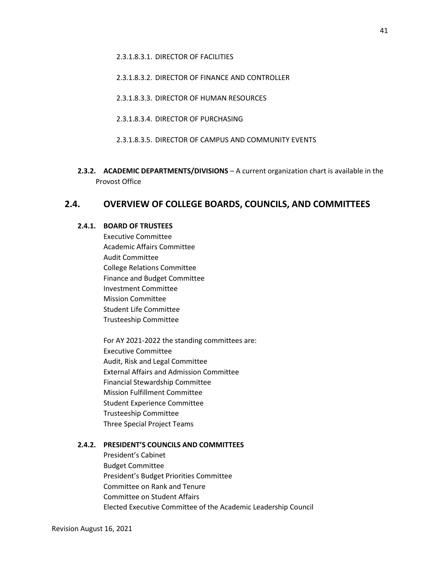2.3.1.8.3.2. DIRECTOR OF FINANCE AND CONTROLLER

- 2.3.1.8.3.3. DIRECTOR OF HUMAN RESOURCES
- 2.3.1.8.3.4. DIRECTOR OF PURCHASING
- 2.3.1.8.3.5. DIRECTOR OF CAMPUS AND COMMUNITY EVENTS
- **2.3.2. ACADEMIC DEPARTMENTS/DIVISIONS**  A current organization chart is available in the Provost Office

# **2.4. OVERVIEW OF COLLEGE BOARDS, COUNCILS, AND COMMITTEES**

#### **2.4.1. BOARD OF TRUSTEES**

Executive Committee Academic Affairs Committee Audit Committee College Relations Committee Finance and Budget Committee Investment Committee Mission Committee Student Life Committee Trusteeship Committee

For AY 2021-2022 the standing committees are: Executive Committee Audit, Risk and Legal Committee External Affairs and Admission Committee Financial Stewardship Committee Mission Fulfillment Committee Student Experience Committee Trusteeship Committee Three Special Project Teams

### **2.4.2. PRESIDENT'S COUNCILS AND COMMITTEES**

President's Cabinet Budget Committee President's Budget Priorities Committee Committee on Rank and Tenure Committee on Student Affairs Elected Executive Committee of the Academic Leadership Council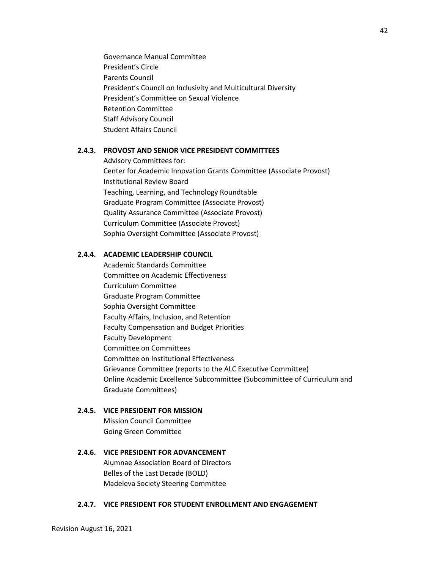Governance Manual Committee President's Circle Parents Council President's Council on Inclusivity and Multicultural Diversity President's Committee on Sexual Violence Retention Committee Staff Advisory Council Student Affairs Council

# **2.4.3. PROVOST AND SENIOR VICE PRESIDENT COMMITTEES**

Advisory Committees for: Center for Academic Innovation Grants Committee (Associate Provost) Institutional Review Board Teaching, Learning, and Technology Roundtable Graduate Program Committee (Associate Provost) Quality Assurance Committee (Associate Provost) Curriculum Committee (Associate Provost) Sophia Oversight Committee (Associate Provost)

### **2.4.4. ACADEMIC LEADERSHIP COUNCIL**

Academic Standards Committee Committee on Academic Effectiveness Curriculum Committee Graduate Program Committee Sophia Oversight Committee Faculty Affairs, Inclusion, and Retention Faculty Compensation and Budget Priorities Faculty Development Committee on Committees Committee on Institutional Effectiveness Grievance Committee (reports to the ALC Executive Committee) Online Academic Excellence Subcommittee (Subcommittee of Curriculum and Graduate Committees)

### **2.4.5. VICE PRESIDENT FOR MISSION**

Mission Council Committee Going Green Committee

### **2.4.6. VICE PRESIDENT FOR ADVANCEMENT**

Alumnae Association Board of Directors Belles of the Last Decade (BOLD) Madeleva Society Steering Committee

#### **2.4.7. VICE PRESIDENT FOR STUDENT ENROLLMENT AND ENGAGEMENT**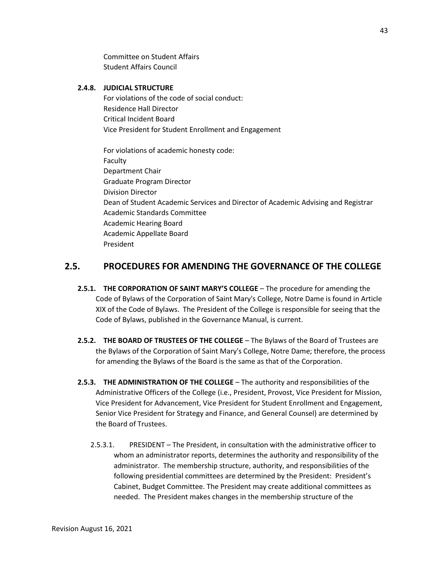Committee on Student Affairs Student Affairs Council

## **2.4.8. JUDICIAL STRUCTURE**

For violations of the code of social conduct: Residence Hall Director Critical Incident Board Vice President for Student Enrollment and Engagement

For violations of academic honesty code: Faculty Department Chair Graduate Program Director Division Director Dean of Student Academic Services and Director of Academic Advising and Registrar Academic Standards Committee Academic Hearing Board Academic Appellate Board President

# **2.5. PROCEDURES FOR AMENDING THE GOVERNANCE OF THE COLLEGE**

- **2.5.1. THE CORPORATION OF SAINT MARY'S COLLEGE**  The procedure for amending the Code of Bylaws of the Corporation of Saint Mary's College, Notre Dame is found in Article XIX of the Code of Bylaws. The President of the College is responsible for seeing that the Code of Bylaws, published in the Governance Manual, is current.
- **2.5.2. THE BOARD OF TRUSTEES OF THE COLLEGE**  The Bylaws of the Board of Trustees are the Bylaws of the Corporation of Saint Mary's College, Notre Dame; therefore, the process for amending the Bylaws of the Board is the same as that of the Corporation.
- **2.5.3. THE ADMINISTRATION OF THE COLLEGE**  The authority and responsibilities of the Administrative Officers of the College (i.e., President, Provost, Vice President for Mission, Vice President for Advancement, Vice President for Student Enrollment and Engagement, Senior Vice President for Strategy and Finance, and General Counsel) are determined by the Board of Trustees.
	- 2.5.3.1. PRESIDENT The President, in consultation with the administrative officer to whom an administrator reports, determines the authority and responsibility of the administrator. The membership structure, authority, and responsibilities of the following presidential committees are determined by the President: President's Cabinet, Budget Committee. The President may create additional committees as needed. The President makes changes in the membership structure of the